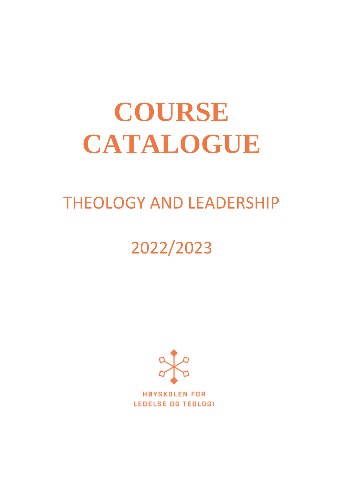# **COURSE CATALOGUE**

# THEOLOGY AND LEADERSHIP

# 2022/2023



**HØYSKOLEN FOR LEDELSE OG TEOLOGI**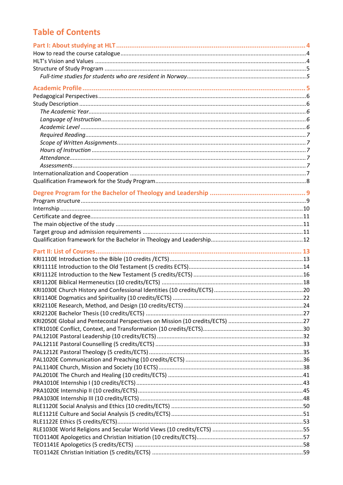# **Table of Contents**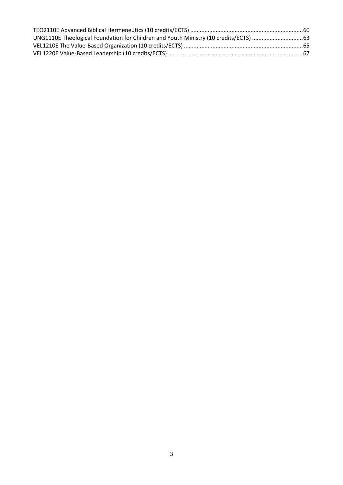| UNG1110E Theological Foundation for Children and Youth Ministry (10 credits/ECTS) 63 |  |
|--------------------------------------------------------------------------------------|--|
|                                                                                      |  |
|                                                                                      |  |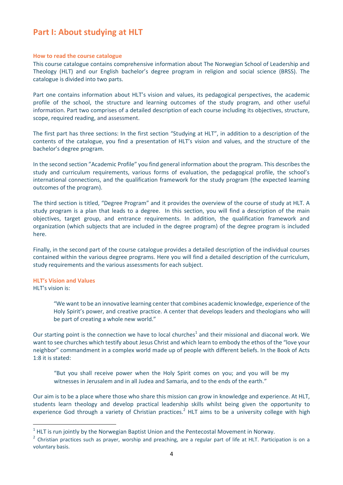### <span id="page-3-0"></span>**Part I: About studying at HLT**

#### <span id="page-3-1"></span>**How to read the course catalogue**

This course catalogue contains comprehensive information about The Norwegian School of Leadership and Theology (HLT) and our English bachelor's degree program in religion and social science (BRSS). The catalogue is divided into two parts.

Part one contains information about HLT's vision and values, its pedagogical perspectives, the academic profile of the school, the structure and learning outcomes of the study program, and other useful information. Part two comprises of a detailed description of each course including its objectives, structure, scope, required reading, and assessment.

The first part has three sections: In the first section "Studying at HLT", in addition to a description of the contents of the catalogue, you find a presentation of HLT's vision and values, and the structure of the bachelor's degree program.

In the second section "Academic Profile" you find general information about the program. This describes the study and curriculum requirements, various forms of evaluation, the pedagogical profile, the school's international connections, and the qualification framework for the study program (the expected learning outcomes of the program).

The third section is titled, "Degree Program" and it provides the overview of the course of study at HLT. A study program is a plan that leads to a degree. In this section, you will find a description of the main objectives, target group, and entrance requirements. In addition, the qualification framework and organization (which subjects that are included in the degree program) of the degree program is included here.

Finally, in the second part of the course catalogue provides a detailed description of the individual courses contained within the various degree programs. Here you will find a detailed description of the curriculum, study requirements and the various assessments for each subject.

#### <span id="page-3-2"></span>**HLT's Vision and Values**

HLT's vision is:

"We want to be an innovative learning center that combines academic knowledge, experience of the Holy Spirit's power, and creative practice. A center that develops leaders and theologians who will be part of creating a whole new world."

Our starting point is the connection we have to local churches<sup>1</sup> and their missional and diaconal work. We want to see churches which testify about Jesus Christ and which learn to embody the ethos of the "love your neighbor" commandment in a complex world made up of people with different beliefs. In the Book of Acts 1:8 it is stated:

"But you shall receive power when the Holy Spirit comes on you; and you will be my witnesses in Jerusalem and in all Judea and Samaria, and to the ends of the earth."

Our aim is to be a place where those who share this mission can grow in knowledge and experience. At HLT, students learn theology and develop practical leadership skills whilst being given the opportunity to experience God through a variety of Christian practices.<sup>2</sup> HLT aims to be a university college with high

 $1$  HLT is run jointly by the Norwegian Baptist Union and the Pentecostal Movement in Norway.

 $2$  Christian practices such as prayer, worship and preaching, are a regular part of life at HLT. Participation is on a voluntary basis.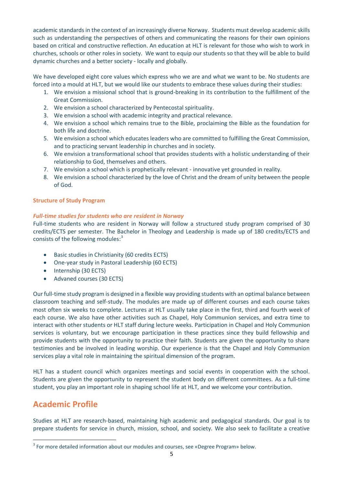academic standards in the context of an increasingly diverse Norway. Students must develop academic skills such as understanding the perspectives of others and communicating the reasons for their own opinions based on critical and constructive reflection. An education at HLT is relevant for those who wish to work in churches, schools or other roles in society. We want to equip our students so that they will be able to build dynamic churches and a better society - locally and globally.

We have developed eight core values which express who we are and what we want to be. No students are forced into a mould at HLT, but we would like our students to embrace these values during their studies:

- 1. We envision a missional school that is ground-breaking in its contribution to the fulfillment of the Great Commission.
- 2. We envision a school characterized by Pentecostal spirituality.
- 3. We envision a school with academic integrity and practical relevance.
- 4. We envision a school which remains true to the Bible, proclaiming the Bible as the foundation for both life and doctrine.
- 5. We envision a school which educates leaders who are committed to fulfilling the Great Commission, and to practicing servant leadership in churches and in society.
- 6. We envision a transformational school that provides students with a holistic understanding of their relationship to God, themselves and others.
- 7. We envision a school which is prophetically relevant innovative yet grounded in reality.
- 8. We envision a school characterized by the love of Christ and the dream of unity between the people of God.

#### <span id="page-4-0"></span>**Structure of Study Program**

#### <span id="page-4-1"></span>*Full-time studies for students who are resident in Norway*

Full-time students who are resident in Norway will follow a structured study program comprised of 30 credits/ECTS per semester. The Bachelor in Theology and Leadership is made up of 180 credits/ECTS and consists of the following modules:<sup>3</sup>

- Basic studies in Christianity (60 credits ECTS)
- One-year study in Pastoral Leadership (60 ECTS)
- Internship (30 ECTS)
- Advaned courses (30 ECTS)

Our full-time study program is designed in a flexible way providing students with an optimal balance between classroom teaching and self-study. The modules are made up of different courses and each course takes most often six weeks to complete. Lectures at HLT usually take place in the first, third and fourth week of each course. We also have other activities such as Chapel, Holy Communion services, and extra time to interact with other students or HLT staff during lecture weeks. Participation in Chapel and Holy Communion services is voluntary, but we encourage participation in these practices since they build fellowship and provide students with the opportunity to practice their faith. Students are given the opportunity to share testimonies and be involved in leading worship. Our experience is that the Chapel and Holy Communion services play a vital role in maintaining the spiritual dimension of the program.

HLT has a student council which organizes meetings and social events in cooperation with the school. Students are given the opportunity to represent the student body on different committees. As a full-time student, you play an important role in shaping school life at HLT, and we welcome your contribution.

## <span id="page-4-2"></span>**Academic Profile**

Studies at HLT are research-based, maintaining high academic and pedagogical standards. Our goal is to prepare students for service in church, mission, school, and society. We also seek to facilitate a creative

 $3$  For more detailed information about our modules and courses, see «Degree Program» below.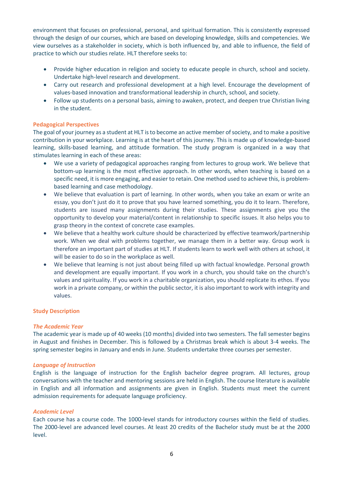environment that focuses on professional, personal, and spiritual formation. This is consistently expressed through the design of our courses, which are based on developing knowledge, skills and competencies. We view ourselves as a stakeholder in society, which is both influenced by, and able to influence, the field of practice to which our studies relate. HLT therefore seeks to:

- Provide higher education in religion and society to educate people in church, school and society. Undertake high-level research and development.
- Carry out research and professional development at a high level. Encourage the development of values-based innovation and transformational leadership in church, school, and society.
- Follow up students on a personal basis, aiming to awaken, protect, and deepen true Christian living in the student.

#### <span id="page-5-0"></span>**Pedagogical Perspectives**

The goal of your journey as a student at HLT is to become an active member of society, and to make a positive contribution in your workplace. Learning is at the heart of this journey. This is made up of knowledge-based learning, skills-based learning, and attitude formation. The study program is organized in a way that stimulates learning in each of these areas:

- We use a variety of pedagogical approaches ranging from lectures to group work. We believe that bottom-up learning is the most effective approach. In other words, when teaching is based on a specific need, it is more engaging, and easier to retain. One method used to achieve this, is problembased learning and case methodology.
- We believe that evaluation is part of learning. In other words, when you take an exam or write an essay, you don't just do it to prove that you have learned something, you do it to learn. Therefore, students are issued many assignments during their studies. These assignments give you the opportunity to develop your material/content in relationship to specific issues. It also helps you to grasp theory in the context of concrete case examples.
- We believe that a healthy work culture should be characterized by effective teamwork/partnership work. When we deal with problems together, we manage them in a better way. Group work is therefore an important part of studies at HLT. If students learn to work well with others at school, it will be easier to do so in the workplace as well.
- We believe that learning is not just about being filled up with factual knowledge. Personal growth and development are equally important. If you work in a church, you should take on the church's values and spirituality. If you work in a charitable organization, you should replicate its ethos. If you work in a private company, or within the public sector, it is also important to work with integrity and values.

#### <span id="page-5-1"></span>**Study Description**

#### <span id="page-5-2"></span>*The Academic Year*

The academic year is made up of 40 weeks (10 months) divided into two semesters. The fall semester begins in August and finishes in December. This is followed by a Christmas break which is about 3-4 weeks. The spring semester begins in January and ends in June. Students undertake three courses per semester.

#### <span id="page-5-3"></span>*Language of Instruction*

English is the language of instruction for the English bachelor degree program. All lectures, group conversations with the teacher and mentoring sessions are held in English. The course literature is available in English and all information and assignments are given in English. Students must meet the current admission requirements for adequate language proficiency.

#### <span id="page-5-4"></span>*Academic Level*

Each course has a course code. The 1000-level stands for introductory courses within the field of studies. The 2000-level are advanced level courses. At least 20 credits of the Bachelor study must be at the 2000 level.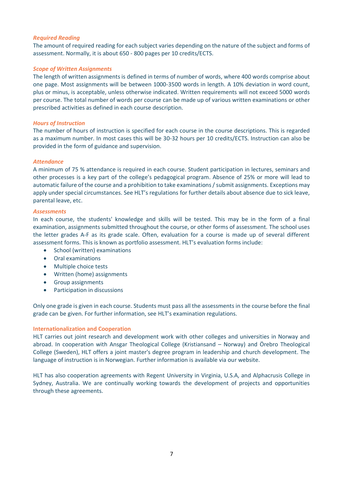#### <span id="page-6-0"></span>*Required Reading*

The amount of required reading for each subject varies depending on the nature of the subject and forms of assessment. Normally, it is about 650 - 800 pages per 10 credits/ECTS.

#### <span id="page-6-1"></span>*Scope of Written Assignments*

The length of written assignments is defined in terms of number of words, where 400 words comprise about one page. Most assignments will be between 1000-3500 words in length. A 10% deviation in word count, plus or minus, is acceptable, unless otherwise indicated. Written requirements will not exceed 5000 words per course. The total number of words per course can be made up of various written examinations or other prescribed activities as defined in each course description.

#### <span id="page-6-2"></span>*Hours of Instruction*

The number of hours of instruction is specified for each course in the course descriptions. This is regarded as a maximum number. In most cases this will be 30-32 hours per 10 credits/ECTS. Instruction can also be provided in the form of guidance and supervision.

#### <span id="page-6-3"></span>*Attendance*

A minimum of 75 % attendance is required in each course. Student participation in lectures, seminars and other processes is a key part of the college's pedagogical program. Absence of 25% or more will lead to automatic failure of the course and a prohibition to take examinations / submit assignments. Exceptions may apply under special circumstances. See HLT's regulations for further details about absence due to sick leave, parental leave, etc.

#### <span id="page-6-4"></span>*Assessments*

In each course, the students' knowledge and skills will be tested. This may be in the form of a final examination, assignments submitted throughout the course, or other forms of assessment. The school uses the letter grades A-F as its grade scale. Often, evaluation for a course is made up of several different assessment forms. This is known as portfolio assessment. HLT's evaluation forms include:

- School (written) examinations
- Oral examinations
- Multiple choice tests
- Written (home) assignments
- Group assignments
- Participation in discussions

Only one grade is given in each course. Students must pass all the assessments in the course before the final grade can be given. For further information, see HLT's examination regulations.

#### <span id="page-6-5"></span>**Internationalization and Cooperation**

HLT carries out joint research and development work with other colleges and universities in Norway and abroad. In cooperation with Ansgar Theological College (Kristiansand – Norway) and Örebro Theological College (Sweden), HLT offers a joint master's degree program in leadership and church development. The language of instruction is in Norwegian. Further information is available via our website.

HLT has also cooperation agreements with Regent University in Virginia, U.S.A, and Alphacrusis College in Sydney, Australia. We are continually working towards the development of projects and opportunities through these agreements.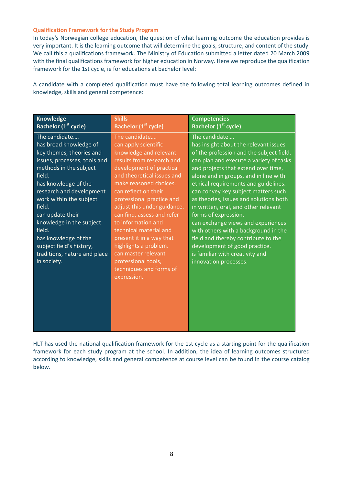#### <span id="page-7-0"></span>**Qualification Framework for the Study Program**

In today's Norwegian college education, the question of what learning outcome the education provides is very important. It is the learning outcome that will determine the goals, structure, and content of the study. We call this a qualifications framework. The Ministry of Education submitted a letter dated 20 March 2009 with the final qualifications framework for higher education in Norway. Here we reproduce the qualification framework for the 1st cycle, ie for educations at bachelor level:

A candidate with a completed qualification must have the following total learning outcomes defined in knowledge, skills and general competence:

| <b>Knowledge</b>                                                                                                                                                                                                                                                                                                                                                                              | <b>Skills</b>                                                                                                                                                                                                                                                                                                                                                                                                                                                                                   | <b>Competencies</b>                                                                                                                                                                                                                                                                                                                                                                                                                                                                                                                                                                                                                      |
|-----------------------------------------------------------------------------------------------------------------------------------------------------------------------------------------------------------------------------------------------------------------------------------------------------------------------------------------------------------------------------------------------|-------------------------------------------------------------------------------------------------------------------------------------------------------------------------------------------------------------------------------------------------------------------------------------------------------------------------------------------------------------------------------------------------------------------------------------------------------------------------------------------------|------------------------------------------------------------------------------------------------------------------------------------------------------------------------------------------------------------------------------------------------------------------------------------------------------------------------------------------------------------------------------------------------------------------------------------------------------------------------------------------------------------------------------------------------------------------------------------------------------------------------------------------|
| Bachelor (1 <sup>st</sup> cycle)                                                                                                                                                                                                                                                                                                                                                              | Bachelor (1 <sup>st</sup> cycle)                                                                                                                                                                                                                                                                                                                                                                                                                                                                | Bachelor (1 <sup>st</sup> cycle)                                                                                                                                                                                                                                                                                                                                                                                                                                                                                                                                                                                                         |
| The candidate<br>has broad knowledge of<br>key themes, theories and<br>issues, processes, tools and<br>methods in the subject<br>field.<br>has knowledge of the<br>research and development<br>work within the subject<br>field.<br>can update their<br>knowledge in the subject<br>field.<br>has knowledge of the<br>subject field's history,<br>traditions, nature and place<br>in society. | The candidate<br>can apply scientific<br>knowledge and relevant<br>results from research and<br>development of practical<br>and theoretical issues and<br>make reasoned choices.<br>can reflect on their<br>professional practice and<br>adjust this under guidance.<br>can find, assess and refer<br>to information and<br>technical material and<br>present it in a way that<br>highlights a problem.<br>can master relevant<br>professional tools,<br>techniques and forms of<br>expression. | The candidate<br>has insight about the relevant issues<br>of the profession and the subject field.<br>can plan and execute a variety of tasks<br>and projects that extend over time,<br>alone and in groups, and in line with<br>ethical requirements and guidelines.<br>can convey key subject matters such<br>as theories, issues and solutions both<br>in written, oral, and other relevant<br>forms of expression.<br>can exchange views and experiences<br>with others with a background in the<br>field and thereby contribute to the<br>development of good practice.<br>is familiar with creativity and<br>innovation processes. |

HLT has used the national qualification framework for the 1st cycle as a starting point for the qualification framework for each study program at the school. In addition, the idea of learning outcomes structured according to knowledge, skills and general competence at course level can be found in the course catalog below.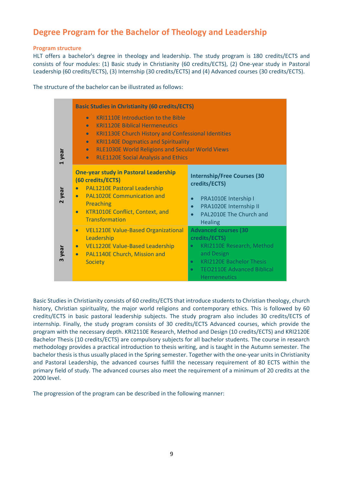# <span id="page-8-0"></span>**Degree Program for the Bachelor of Theology and Leadership**

#### <span id="page-8-1"></span>**Program structure**

HLT offers a bachelor's degree in theology and leadership. The study program is 180 credits/ECTS and consists of four modules: (1) Basic study in Christianity (60 credits/ECTS), (2) One-year study in Pastoral Leadership (60 credits/ECTS), (3) Internship (30 credits/ECTS) and (4) Advanced courses (30 credits/ECTS).

The structure of the bachelor can be illustrated as follows:

|        | <b>Basic Studies in Christianity (60 credits/ECTS)</b>                                                                                                                                                                                                                                                                                                                                |                                                                                                                                                                                                                               |  |
|--------|---------------------------------------------------------------------------------------------------------------------------------------------------------------------------------------------------------------------------------------------------------------------------------------------------------------------------------------------------------------------------------------|-------------------------------------------------------------------------------------------------------------------------------------------------------------------------------------------------------------------------------|--|
| 1 year | <b>KRI1110E Introduction to the Bible</b><br>$\bullet$<br><b>KRI1120E Biblical Hermeneutics</b><br>$\bullet$<br><b>KRI1130E Church History and Confessional Identities</b><br>$\bullet$<br><b>KRI1140E Dogmatics and Spirituality</b><br>$\bullet$<br><b>RLE1030E World Religions and Secular World Views</b><br>$\bullet$<br><b>RLE1120E Social Analysis and Ethics</b><br>$\bullet$ |                                                                                                                                                                                                                               |  |
| 2 year | <b>One-year study in Pastoral Leadership</b><br>(60 credits/ECTS)<br><b>PAL1210E Pastoral Leadership</b><br>$\bullet$<br><b>PAL1020E Communication and</b><br>$\bullet$<br>Preaching<br>KTR1010E Conflict, Context, and<br>$\bullet$<br><b>Transformation</b>                                                                                                                         | <b>Internship/Free Courses (30</b><br>credits/ECTS)<br>PRA1010E Intership I<br>$\bullet$<br>PRA1020E Internship II<br>$\bullet$<br>PAL2010E The Church and<br><b>Healing</b>                                                  |  |
| 3 year | <b>VEL1210E Value-Based Organizational</b><br>$\bullet$<br>Leadership<br><b>VEL1220E Value-Based Leadership</b><br>$\bullet$<br>PAL1140E Church, Mission and<br>$\bullet$<br><b>Society</b>                                                                                                                                                                                           | <b>Advanced courses (30</b><br>credits/ECTS)<br>KRI2110E Research, Method<br>$\bullet$<br>and Design<br><b>KRI2120E Bachelor Thesis</b><br>$\bullet$<br><b>TEO2110E Advanced Biblical</b><br>$\bullet$<br><b>Hermeneutics</b> |  |

Basic Studies in Christianity consists of 60 credits/ECTS that introduce students to Christian theology, church history, Christian spirituality, the major world religions and contemporary ethics. This is followed by 60 credits/ECTS in basic pastoral leadership subjects. The study program also includes 30 credits/ECTS of internship. Finally, the study program consists of 30 credits/ECTS Advanced courses, which provide the program with the necessary depth. KRI2110E Research, Method and Design (10 credits/ECTS) and KRI2120E Bachelor Thesis (10 credits/ECTS) are compulsory subjects for all bachelor students. The course in research methodology provides a practical introduction to thesis writing, and is taught in the Autumn semester. The bachelor thesis is thus usually placed in the Spring semester. Together with the one-year units in Christianity and Pastoral Leadership, the advanced courses fulfill the necessary requirement of 80 ECTS within the primary field of study. The advanced courses also meet the requirement of a minimum of 20 credits at the 2000 level.

The progression of the program can be described in the following manner: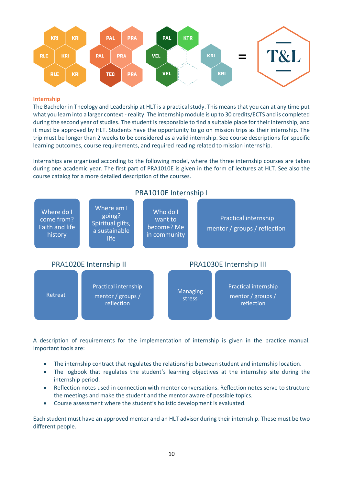

#### <span id="page-9-0"></span>**Internship**

The Bachelor in Theology and Leadership at HLT is a practical study. This means that you can at any time put what you learn into a larger context - reality. The internship module is up to 30 credits/ECTS and is completed during the second year of studies. The student is responsible to find a suitable place for their internship, and it must be approved by HLT. Students have the opportunity to go on mission trips as their internship. The trip must be longer than 2 weeks to be considered as a valid internship. See course descriptions for specific learning outcomes, course requirements, and required reading related to mission internship.

Internships are organized according to the following model, where the three internship courses are taken during one academic year. The first part of PRA1010E is given in the form of lectures at HLT. See also the course catalog for a more detailed description of the courses.



A description of requirements for the implementation of internship is given in the practice manual. Important tools are:

- The internship contract that regulates the relationship between student and internship location.
- The logbook that regulates the student's learning objectives at the internship site during the internship period.
- Reflection notes used in connection with mentor conversations. Reflection notes serve to structure the meetings and make the student and the mentor aware of possible topics.
- Course assessment where the student's holistic development is evaluated.

Each student must have an approved mentor and an HLT advisor during their internship. These must be two different people.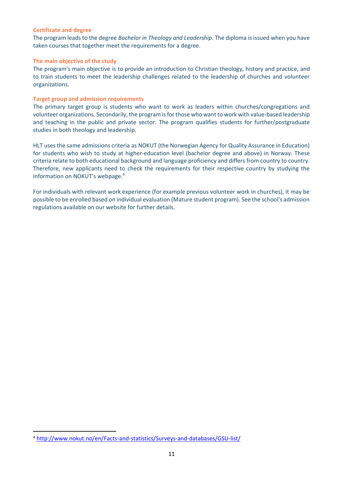#### <span id="page-10-0"></span>**Certificate and degree**

The program leads to the degree *Bachelor in Theology and Leadership*. The diploma is issued when you have taken courses that together meet the requirements for a degree.

#### <span id="page-10-1"></span>**The main objective of the study**

The program's main objective is to provide an introduction to Christian theology, history and practice, and to train students to meet the leadership challenges related to the leadership of churches and volunteer organizations.

#### <span id="page-10-2"></span>**Target group and admission requirements**

The primary target group is students who want to work as leaders within churches/congregations and volunteer organizations. Secondarily, the program is for those who want to work with value-based leadership and teaching in the public and private sector. The program qualifies students for further/postgraduate studies in both theology and leadership.

HLT uses the same admissions criteria as NOKUT (the Norwegian Agency for Quality Assurance in Education) for students who wish to study at higher-education level (bachelor degree and above) in Norway. These criteria relate to both educational background and language proficiency and differs from country to country. Therefore, new applicants need to check the requirements for their respective country by studying the information on NOKUT's webpage.<sup>4</sup>

For individuals with relevant work experience (for example previous volunteer work in churches), it may be possible to be enrolled based on individual evaluation (Mature student program). See the school's admission regulations available on our website for further details.

<sup>4</sup> <http://www.nokut.no/en/Facts-and-statistics/Surveys-and-databases/GSU-list/>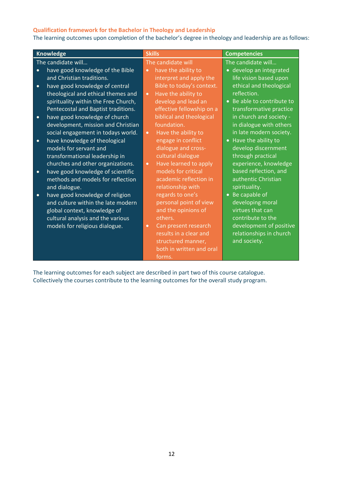#### <span id="page-11-0"></span>**Qualification framework for the Bachelor in Theology and Leadership**

The learning outcomes upon completion of the bachelor's degree in theology and leadership are as follows:

| <b>Knowledge</b>                               | <b>Skills</b>                      | <b>Competencies</b>        |
|------------------------------------------------|------------------------------------|----------------------------|
| The candidate will                             | The candidate will                 | The candidate will         |
| have good knowledge of the Bible<br>$\bullet$  | have the ability to<br>$\bullet$   | · develop an integrated    |
| and Christian traditions.                      | interpret and apply the            | life vision based upon     |
| have good knowledge of central<br>$\bullet$    | Bible to today's context.          | ethical and theological    |
| theological and ethical themes and             | Have the ability to<br>$\bullet$   | reflection.                |
| spirituality within the Free Church,           | develop and lead an                | • Be able to contribute to |
| Pentecostal and Baptist traditions.            | effective fellowship on a          | transformative practice    |
| have good knowledge of church<br>$\bullet$     | biblical and theological           | in church and society -    |
| development, mission and Christian             | foundation.                        | in dialogue with others    |
| social engagement in todays world.             | Have the ability to<br>$\bullet$   | in late modern society.    |
| have knowledge of theological<br>$\bullet$     | engage in conflict                 | • Have the ability to      |
| models for servant and                         | dialogue and cross-                | develop discernment        |
| transformational leadership in                 | cultural dialogue                  | through practical          |
| churches and other organizations.              | Have learned to apply<br>$\bullet$ | experience, knowledge      |
| have good knowledge of scientific<br>$\bullet$ | models for critical                | based reflection, and      |
| methods and models for reflection              | academic reflection in             | authentic Christian        |
| and dialogue.                                  | relationship with                  | spirituality.              |
| have good knowledge of religion<br>$\bullet$   | regards to one's                   | • Be capable of            |
| and culture within the late modern             | personal point of view             | developing moral           |
| global context, knowledge of                   | and the opinions of                | virtues that can           |
| cultural analysis and the various              | others.                            | contribute to the          |
| models for religious dialogue.                 | Can present research<br>$\bullet$  | development of positive    |
|                                                | results in a clear and             | relationships in church    |
|                                                | structured manner,                 | and society.               |
|                                                | both in written and oral           |                            |
|                                                | forms.                             |                            |

The learning outcomes for each subject are described in part two of this course catalogue. Collectively the courses contribute to the learning outcomes for the overall study program.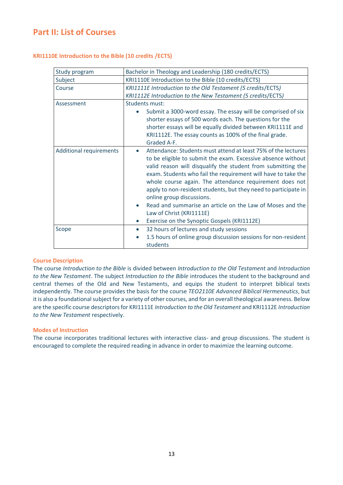### <span id="page-12-0"></span>**Part II: List of Courses**

<span id="page-12-1"></span>

|  | <b>KRI1110E Introduction to the Bible (10 credits /ECTS)</b> |  |  |  |
|--|--------------------------------------------------------------|--|--|--|
|--|--------------------------------------------------------------|--|--|--|

| Study program                  | Bachelor in Theology and Leadership (180 credits/ECTS)                                                                                                                                                                                                                                                                                                                                                                                                                                                                                                                                      |  |  |
|--------------------------------|---------------------------------------------------------------------------------------------------------------------------------------------------------------------------------------------------------------------------------------------------------------------------------------------------------------------------------------------------------------------------------------------------------------------------------------------------------------------------------------------------------------------------------------------------------------------------------------------|--|--|
| Subject                        | KRI1110E Introduction to the Bible (10 credits/ECTS)                                                                                                                                                                                                                                                                                                                                                                                                                                                                                                                                        |  |  |
| Course                         | KRI1111E Introduction to the Old Testament (5 credits/ECTS)                                                                                                                                                                                                                                                                                                                                                                                                                                                                                                                                 |  |  |
|                                | KRI1112E Introduction to the New Testament (5 credits/ECTS)                                                                                                                                                                                                                                                                                                                                                                                                                                                                                                                                 |  |  |
| Assessment                     | Students must:                                                                                                                                                                                                                                                                                                                                                                                                                                                                                                                                                                              |  |  |
|                                | Submit a 3000-word essay. The essay will be comprised of six                                                                                                                                                                                                                                                                                                                                                                                                                                                                                                                                |  |  |
|                                | shorter essays of 500 words each. The questions for the                                                                                                                                                                                                                                                                                                                                                                                                                                                                                                                                     |  |  |
|                                | shorter essays will be equally divided between KRI1111E and                                                                                                                                                                                                                                                                                                                                                                                                                                                                                                                                 |  |  |
|                                | KRI1112E. The essay counts as 100% of the final grade.                                                                                                                                                                                                                                                                                                                                                                                                                                                                                                                                      |  |  |
|                                | Graded A-F.                                                                                                                                                                                                                                                                                                                                                                                                                                                                                                                                                                                 |  |  |
| <b>Additional requirements</b> | Attendance: Students must attend at least 75% of the lectures<br>$\bullet$<br>to be eligible to submit the exam. Excessive absence without<br>valid reason will disqualify the student from submitting the<br>exam. Students who fail the requirement will have to take the<br>whole course again. The attendance requirement does not<br>apply to non-resident students, but they need to participate in<br>online group discussions.<br>Read and summarise an article on the Law of Moses and the<br>Law of Christ (KRI1111E)<br>Exercise on the Synoptic Gospels (KRI1112E)<br>$\bullet$ |  |  |
| Scope                          | 32 hours of lectures and study sessions<br>$\bullet$                                                                                                                                                                                                                                                                                                                                                                                                                                                                                                                                        |  |  |
|                                | 1.5 hours of online group discussion sessions for non-resident                                                                                                                                                                                                                                                                                                                                                                                                                                                                                                                              |  |  |
|                                | students                                                                                                                                                                                                                                                                                                                                                                                                                                                                                                                                                                                    |  |  |

#### **Course Description**

The course *Introduction to the Bible* is divided between *Introduction to the Old Testament* and *Introduction to the New Testament*. The subject *Introduction to the Bible* introduces the student to the background and central themes of the Old and New Testaments, and equips the student to interpret biblical texts independently. The course provides the basis for the course *TEO2110E Advanced Biblical Hermeneutics*, but it is also a foundational subject for a variety of other courses, and for an overall theological awareness. Below are the specific course descriptors for KRI1111E *Introduction to the Old Testament* and KRI1112E *Introduction to the New Testament* respectively.

#### **Modes of Instruction**

The course incorporates traditional lectures with interactive class- and group discussions. The student is encouraged to complete the required reading in advance in order to maximize the learning outcome.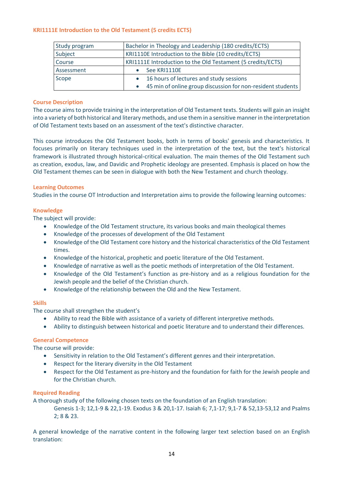#### <span id="page-13-0"></span>**KRI1111E Introduction to the Old Testament (5 credits ECTS)**

| Study program | Bachelor in Theology and Leadership (180 credits/ECTS)      |
|---------------|-------------------------------------------------------------|
| Subject       | KRI1110E Introduction to the Bible (10 credits/ECTS)        |
| Course        | KRI1111E Introduction to the Old Testament (5 credits/ECTS) |
| Assessment    | See KRI1110E                                                |
| Scope         | • 16 hours of lectures and study sessions                   |
|               | 45 min of online group discussion for non-resident students |

#### **Course Description**

The course aims to provide training in the interpretation of Old Testament texts. Students will gain an insight into a variety of both historical and literary methods, and use them in a sensitive manner in the interpretation of Old Testament texts based on an assessment of the text's distinctive character.

This course introduces the Old Testament books, both in terms of books' genesis and characteristics. It focuses primarily on literary techniques used in the interpretation of the text, but the text's historical framework is illustrated through historical-critical evaluation. The main themes of the Old Testament such as creation, exodus, law, and Davidic and Prophetic ideology are presented. Emphasis is placed on how the Old Testament themes can be seen in dialogue with both the New Testament and church theology.

#### **Learning Outcomes**

Studies in the course OT Introduction and Interpretation aims to provide the following learning outcomes:

#### **Knowledge**

The subject will provide:

- Knowledge of the Old Testament structure, its various books and main theological themes
- Knowledge of the processes of development of the Old Testament
- Knowledge of the Old Testament core history and the historical characteristics of the Old Testament times.
- Knowledge of the historical, prophetic and poetic literature of the Old Testament.
- Knowledge of narrative as well as the poetic methods of interpretation of the Old Testament.
- Knowledge of the Old Testament's function as pre-history and as a religious foundation for the Jewish people and the belief of the Christian church.
- Knowledge of the relationship between the Old and the New Testament.

#### **Skills**

The course shall strengthen the student's

- Ability to read the Bible with assistance of a variety of different interpretive methods.
- Ability to distinguish between historical and poetic literature and to understand their differences.

#### **General Competence**

The course will provide:

- Sensitivity in relation to the Old Testament's different genres and their interpretation.
- Respect for the literary diversity in the Old Testament
- Respect for the Old Testament as pre-history and the foundation for faith for the Jewish people and for the Christian church.

#### **Required Reading**

A thorough study of the following chosen texts on the foundation of an English translation:

Genesis 1-3; 12,1-9 & 22,1-19. Exodus 3 & 20,1-17. Isaiah 6; 7,1-17; 9,1-7 & 52,13-53,12 and Psalms 2; 8 & 23.

A general knowledge of the narrative content in the following larger text selection based on an English translation: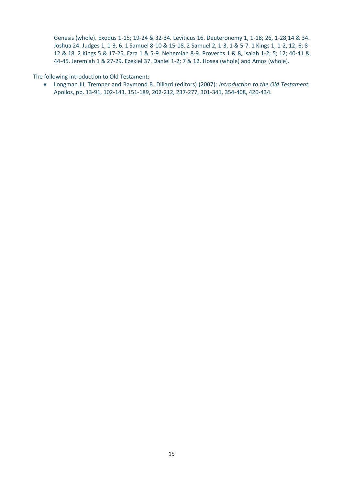Genesis (whole). Exodus 1-15; 19-24 & 32-34. Leviticus 16. Deuteronomy 1, 1-18; 26, 1-28,14 & 34. Joshua 24. Judges 1, 1-3, 6. 1 Samuel 8-10 & 15-18. 2 Samuel 2, 1-3, 1 & 5-7. 1 Kings 1, 1-2, 12; 6; 8- 12 & 18. 2 Kings 5 & 17-25. Ezra 1 & 5-9. Nehemiah 8-9. Proverbs 1 & 8, Isaiah 1-2; 5; 12; 40-41 & 44-45. Jeremiah 1 & 27-29. Ezekiel 37. Daniel 1-2; 7 & 12. Hosea (whole) and Amos (whole).

The following introduction to Old Testament:

• Longman III, Tremper and Raymond B. Dillard (editors) (2007): *Introduction to the Old Testament.* Apollos, pp. 13-91, 102-143, 151-189, 202-212, 237-277, 301-341, 354-408, 420-434.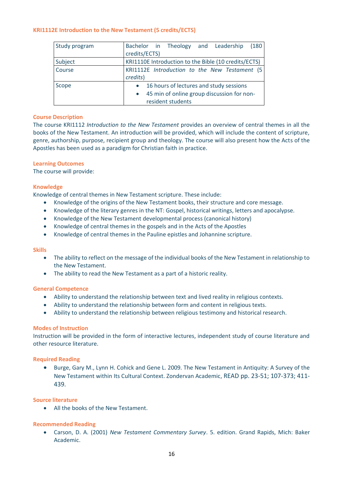#### <span id="page-15-0"></span>**KRI1112E Introduction to the New Testament (5 credits/ECTS)**

| Study program | Bachelor in Theology and Leadership<br>(180)<br>credits/ECTS)                                                                        |
|---------------|--------------------------------------------------------------------------------------------------------------------------------------|
| Subject       | KRI1110E Introduction to the Bible (10 credits/ECTS)                                                                                 |
| Course        | KRI1112E Introduction to the New Testament (5<br>credits)                                                                            |
| Scope         | 16 hours of lectures and study sessions<br>$\bullet$<br>45 min of online group discussion for non-<br>$\bullet$<br>resident students |

#### **Course Description**

The course KRI1112 *Introduction to the New Testament* provides an overview of central themes in all the books of the New Testament. An introduction will be provided, which will include the content of scripture, genre, authorship, purpose, recipient group and theology. The course will also present how the Acts of the Apostles has been used as a paradigm for Christian faith in practice.

#### **Learning Outcomes**

The course will provide:

#### **Knowledge**

Knowledge of central themes in New Testament scripture. These include:

- Knowledge of the origins of the New Testament books, their structure and core message.
- Knowledge of the literary genres in the NT: Gospel, historical writings, letters and apocalypse.
- Knowledge of the New Testament developmental process (canonical history)
- Knowledge of central themes in the gospels and in the Acts of the Apostles
- Knowledge of central themes in the Pauline epistles and Johannine scripture.

#### **Skills**

- The ability to reflect on the message of the individual books of the New Testament in relationship to the New Testament.
- The ability to read the New Testament as a part of a historic reality.

#### **General Competence**

- Ability to understand the relationship between text and lived reality in religious contexts.
- Ability to understand the relationship between form and content in religious texts.
- Ability to understand the relationship between religious testimony and historical research.

#### **Modes of Instruction**

Instruction will be provided in the form of interactive lectures, independent study of course literature and other resource literature.

#### **Required Reading**

• Burge, Gary M., Lynn H. Cohick and Gene L. 2009. The New Testament in Antiquity: A Survey of the New Testament within Its Cultural Context. Zondervan Academic, READ pp. 23-51; 107-373; 411- 439.

#### **Source literature**

• All the books of the New Testament.

#### **Recommended Reading**

• Carson, D. A. (2001) *New Testament Commentary Survey*. 5. edition. Grand Rapids, Mich: Baker Academic.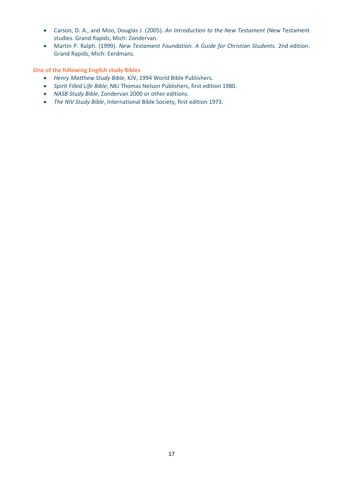- Carson, D. A., and Moo, Douglas J. (2005). *An Introduction to the New Testament* (New Testament studies. Grand Rapids, Mich: Zondervan.
- Martin P. Ralph. (1999). *New Testament Foundation. A Guide for Christian Students.* 2nd edition. Grand Rapids, Mich: Eerdmans.

**One of the following English study Bibles**

- *Henry Matthew Study Bible*, KJV, 1994 World Bible Publishers.
- *Spirit Filled Life Bible*, NKJ Thomas Nelson Publishers, first edition 1980.
- *NASB Study Bible*, Zondervan 2000 or other editions.
- *The NIV Study Bible*, International Bible Society, first edition 1973.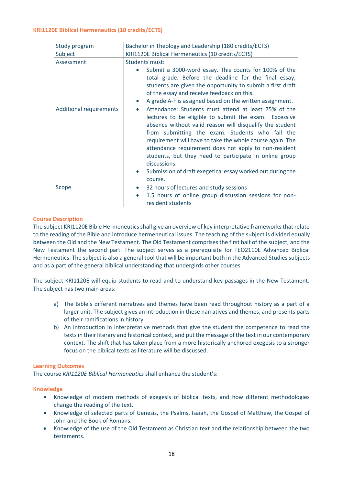#### <span id="page-17-0"></span>**KRI1120E Biblical Hermeneutics (10 credits/ECTS)**

| Study program                  | Bachelor in Theology and Leadership (180 credits/ECTS)                                                                                                                                                                                                                                                                                                                                                                                                                                                                          |  |  |
|--------------------------------|---------------------------------------------------------------------------------------------------------------------------------------------------------------------------------------------------------------------------------------------------------------------------------------------------------------------------------------------------------------------------------------------------------------------------------------------------------------------------------------------------------------------------------|--|--|
| Subject                        | KRI1120E Biblical Hermeneutics (10 credits/ECTS)                                                                                                                                                                                                                                                                                                                                                                                                                                                                                |  |  |
| Assessment                     | <b>Students must:</b>                                                                                                                                                                                                                                                                                                                                                                                                                                                                                                           |  |  |
|                                | Submit a 3000-word essay. This counts for 100% of the<br>$\bullet$<br>total grade. Before the deadline for the final essay,<br>students are given the opportunity to submit a first draft<br>of the essay and receive feedback on this.<br>A grade A-F is assigned based on the written assignment.                                                                                                                                                                                                                             |  |  |
| <b>Additional requirements</b> | Attendance: Students must attend at least 75% of the<br>$\bullet$<br>lectures to be eligible to submit the exam. Excessive<br>absence without valid reason will disqualify the student<br>from submitting the exam. Students who fail the<br>requirement will have to take the whole course again. The<br>attendance requirement does not apply to non-resident<br>students, but they need to participate in online group<br>discussions.<br>Submission of draft exegetical essay worked out during the<br>$\bullet$<br>course. |  |  |
| Scope                          | 32 hours of lectures and study sessions<br>$\bullet$<br>1.5 hours of online group discussion sessions for non-<br>$\bullet$<br>resident students                                                                                                                                                                                                                                                                                                                                                                                |  |  |

#### **Course Description**

The subject KRI1120E Bible Hermeneutics shall give an overview of key interpretative frameworks that relate to the reading of the Bible and introduce hermeneutical issues. The teaching of the subject is divided equally between the Old and the New Testament. The Old Testament comprises the first half of the subject, and the New Testament the second part. The subject serves as a prerequisite for TEO2110E Advanced Biblical Hermeneutics. The subject is also a general tool that will be important both in the Advanced Studies subjects and as a part of the general biblical understanding that undergirds other courses.

The subject KRI1120E will equip students to read and to understand key passages in the New Testament. The subject has two main areas:

- a) The Bible's different narratives and themes have been read throughout history as a part of a larger unit. The subject gives an introduction in these narratives and themes, and presents parts of their ramifications in history.
- b) An introduction in interpretative methods that give the student the competence to read the texts in their literary and historical context, and put the message of the text in our contemporary context. The shift that has taken place from a more historically anchored exegesis to a stronger focus on the biblical texts as literature will be discussed.

#### **Learning Outcomes**

The course *KRI1120E Biblical Hermeneutics* shall enhance the student's:

#### **Knowledge**

- Knowledge of modern methods of exegesis of biblical texts, and how different methodologies change the reading of the text.
- Knowledge of selected parts of Genesis, the Psalms, Isaiah, the Gospel of Matthew, the Gospel of John and the Book of Romans.
- Knowledge of the use of the Old Testament as Christian text and the relationship between the two testaments.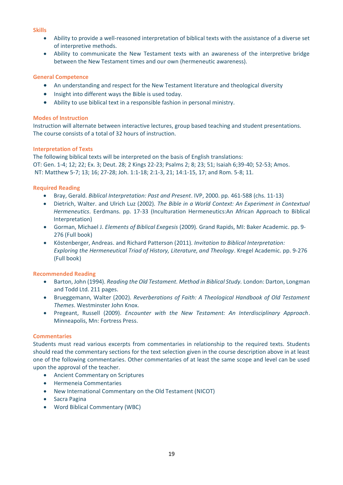#### **Skills**

- Ability to provide a well-reasoned interpretation of biblical texts with the assistance of a diverse set of interpretive methods.
- Ability to communicate the New Testament texts with an awareness of the interpretive bridge between the New Testament times and our own (hermeneutic awareness).

#### **General Competence**

- An understanding and respect for the New Testament literature and theological diversity
- Insight into different ways the Bible is used today.
- Ability to use biblical text in a responsible fashion in personal ministry.

#### **Modes of Instruction**

Instruction will alternate between interactive lectures, group based teaching and student presentations. The course consists of a total of 32 hours of instruction.

#### **Interpretation of Texts**

The following biblical texts will be interpreted on the basis of English translations: OT: Gen. 1-4; 12; 22; Ex. 3; Deut. 28; 2 Kings 22-23; Psalms 2; 8; 23; 51; Isaiah 6;39-40; 52-53; Amos. NT: Matthew 5-7; 13; 16; 27-28; Joh. 1:1-18; 2:1-3, 21; 14:1-15, 17; and Rom. 5-8; 11.

#### **Required Reading**

- Bray, Gerald. *Biblical Interpretation: Past and Present*. IVP, 2000. pp. 461-588 (chs. 11-13)
- Dietrich, Walter. and Ulrich Luz (2002)*. The Bible in a World Context: An Experiment in Contextual Hermeneutics*. Eerdmans. pp. 17-33 (Inculturation Hermeneutics:An African Approach to Biblical Interpretation)
- Gorman, Michael J. *Elements of Biblical Exegesis* (2009)*.* Grand Rapids, MI: Baker Academic. pp. 9- 276 (Full book)
- Köstenberger, Andreas. and Richard Patterson (2011). *Invitation to Biblical Interpretation: Exploring the Hermeneutical Triad of History, Literature, and Theology*. Kregel Academic. pp. 9-276 (Full book)

#### **Recommended Reading**

- Barton, John (1994). *Reading the Old Testament. Method in Biblical Study.* London: Darton, Longman and Todd Ltd. 211 pages.
- Brueggemann, Walter (2002). *Reverberations of Faith: A Theological Handbook of Old Testament Themes*. Westminster John Knox.
- Pregeant, Russell (2009). *Encounter with the New Testament: An Interdisciplinary Approach*. Minneapolis, Mn: Fortress Press.

#### **Commentaries**

Students must read various excerpts from commentaries in relationship to the required texts. Students should read the commentary sections for the text selection given in the course description above in at least one of the following commentaries. Other commentaries of at least the same scope and level can be used upon the approval of the teacher.

- Ancient Commentary on Scriptures
- Hermeneia Commentaries
- New International Commentary on the Old Testament (NICOT)
- Sacra Pagina
- Word Biblical Commentary (WBC)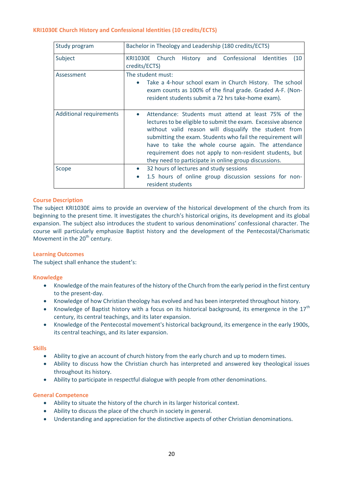#### <span id="page-19-0"></span>**KRI1030E Church History and Confessional Identities (10 credits/ECTS)**

| Study program                  | Bachelor in Theology and Leadership (180 credits/ECTS)                                                                                                                                                                                                                                                                                                                                                                    |  |
|--------------------------------|---------------------------------------------------------------------------------------------------------------------------------------------------------------------------------------------------------------------------------------------------------------------------------------------------------------------------------------------------------------------------------------------------------------------------|--|
| Subject                        | Church<br>History and Confessional<br><b>KRI1030E</b><br><b>Identities</b><br>(10)<br>credits/ECTS)                                                                                                                                                                                                                                                                                                                       |  |
| Assessment                     | The student must:<br>Take a 4-hour school exam in Church History. The school<br>exam counts as 100% of the final grade. Graded A-F. (Non-<br>resident students submit a 72 hrs take-home exam).                                                                                                                                                                                                                           |  |
| <b>Additional requirements</b> | Attendance: Students must attend at least 75% of the<br>lectures to be eligible to submit the exam. Excessive absence<br>without valid reason will disqualify the student from<br>submitting the exam. Students who fail the requirement will<br>have to take the whole course again. The attendance<br>requirement does not apply to non-resident students, but<br>they need to participate in online group discussions. |  |
| Scope                          | 32 hours of lectures and study sessions<br>$\bullet$<br>1.5 hours of online group discussion sessions for non-<br>resident students                                                                                                                                                                                                                                                                                       |  |

#### **Course Description**

The subject KRI1030E aims to provide an overview of the historical development of the church from its beginning to the present time. It investigates the church's historical origins, its development and its global expansion. The subject also introduces the student to various denominations' confessional character. The course will particularly emphasize Baptist history and the development of the Pentecostal/Charismatic Movement in the 20<sup>th</sup> century.

#### **Learning Outcomes**

The subject shall enhance the student's:

#### **Knowledge**

- Knowledge of the main features of the history of the Church from the early period in the first century to the present-day.
- Knowledge of how Christian theology has evolved and has been interpreted throughout history.
- Knowledge of Baptist history with a focus on its historical background, its emergence in the  $17<sup>th</sup>$ century, its central teachings, and its later expansion.
- Knowledge of the Pentecostal movement's historical background, its emergence in the early 1900s, its central teachings, and its later expansion.

#### **Skills**

- Ability to give an account of church history from the early church and up to modern times.
- Ability to discuss how the Christian church has interpreted and answered key theological issues throughout its history.
- Ability to participate in respectful dialogue with people from other denominations.

#### **General Competence**

- Ability to situate the history of the church in its larger historical context.
- Ability to discuss the place of the church in society in general.
- Understanding and appreciation for the distinctive aspects of other Christian denominations.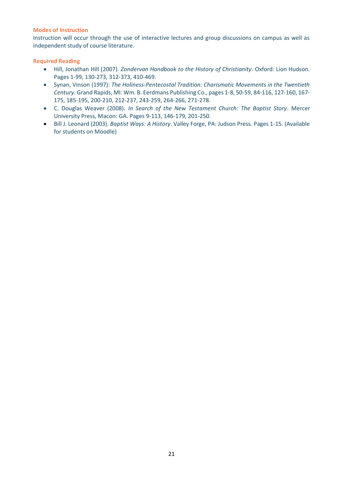#### **Modes of Instruction**

Instruction will occur through the use of interactive lectures and group discussions on campus as well as independent study of course literature.

#### **Required Reading**

- Hill, Jonathan Hill (2007). *Zondervan Handbook to the History of Christianity*. Oxford: Lion Hudson. Pages 1-99, 130-273, 312-373, 410-469.
- Synan, Vinson (1997): *The Holiness-Pentecostal Tradition: Charismatic Movements in the Twentieth Century.* Grand Rapids, MI: Wm. B. Eerdmans Publishing Co., pages 1-8, 50-59, 84-116, 127-160, 167- 175, 185-195, 200-210, 212-237, 243-259, 264-266, 271-278.
- C. Douglas Weaver (2008). *In Search of the New Testament Church: The Baptist Story*. Mercer University Press, Macon: GA. Pages 9-113, 146-179, 201-250.
- Bill J. Leonard (2003). *Baptist Ways: A History*. Valley Forge, PA: Judson Press. Pages 1-15. (Available for students on Moodle)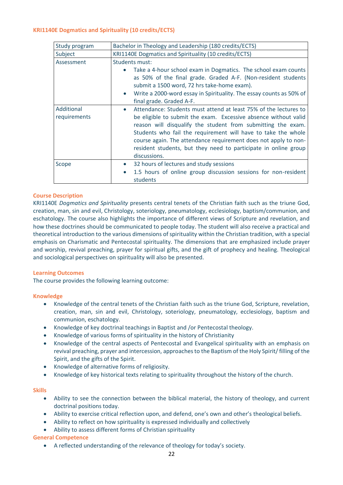#### <span id="page-21-0"></span>**KRI1140E Dogmatics and Spirituality (10 credits/ECTS)**

| Study program              | Bachelor in Theology and Leadership (180 credits/ECTS)                                                                                                                                                                                                                                                                                                                                                                                  |  |
|----------------------------|-----------------------------------------------------------------------------------------------------------------------------------------------------------------------------------------------------------------------------------------------------------------------------------------------------------------------------------------------------------------------------------------------------------------------------------------|--|
| Subject                    | KRI1140E Dogmatics and Spirituality (10 credits/ECTS)                                                                                                                                                                                                                                                                                                                                                                                   |  |
| Assessment                 | <b>Students must:</b>                                                                                                                                                                                                                                                                                                                                                                                                                   |  |
|                            | Take a 4-hour school exam in Dogmatics. The school exam counts<br>as 50% of the final grade. Graded A-F. (Non-resident students<br>submit a 1500 word, 72 hrs take-home exam).<br>Write a 2000-word essay in Spirituality. The essay counts as 50% of<br>$\bullet$                                                                                                                                                                      |  |
|                            | final grade. Graded A-F.                                                                                                                                                                                                                                                                                                                                                                                                                |  |
| Additional<br>requirements | Attendance: Students must attend at least 75% of the lectures to<br>$\bullet$<br>be eligible to submit the exam. Excessive absence without valid<br>reason will disqualify the student from submitting the exam.<br>Students who fail the requirement will have to take the whole<br>course again. The attendance requirement does not apply to non-<br>resident students, but they need to participate in online group<br>discussions. |  |
| Scope                      | 32 hours of lectures and study sessions<br>$\bullet$<br>1.5 hours of online group discussion sessions for non-resident<br>$\bullet$<br>students                                                                                                                                                                                                                                                                                         |  |

#### **Course Description**

KRI1140E *Dogmatics and Spirituality* presents central tenets of the Christian faith such as the triune God, creation, man, sin and evil, Christology, soteriology, pneumatology, ecclesiology, baptism/communion, and eschatology. The course also highlights the importance of different views of Scripture and revelation, and how these doctrines should be communicated to people today. The student will also receive a practical and theoretical introduction to the various dimensions of spirituality within the Christian tradition, with a special emphasis on Charismatic and Pentecostal spirituality. The dimensions that are emphasized include prayer and worship, revival preaching, prayer for spiritual gifts, and the gift of prophecy and healing. Theological and sociological perspectives on spirituality will also be presented.

#### **Learning Outcomes**

The course provides the following learning outcome:

#### **Knowledge**

- Knowledge of the central tenets of the Christian faith such as the triune God, Scripture, revelation, creation, man, sin and evil, Christology, soteriology, pneumatology, ecclesiology, baptism and communion, eschatology.
- Knowledge of key doctrinal teachings in Baptist and /or Pentecostal theology.
- Knowledge of various forms of spirituality in the history of Christianity
- Knowledge of the central aspects of Pentecostal and Evangelical spirituality with an emphasis on revival preaching, prayer and intercession, approaches to the Baptism of the Holy Spirit/ filling of the Spirit, and the gifts of the Spirit.
- Knowledge of alternative forms of religiosity.
- Knowledge of key historical texts relating to spirituality throughout the history of the church.

#### **Skills**

- Ability to see the connection between the biblical material, the history of theology, and current doctrinal positions today.
- Ability to exercise critical reflection upon, and defend, one's own and other's theological beliefs.
- Ability to reflect on how spirituality is expressed individually and collectively
- Ability to assess different forms of Christian spirituality

#### **General Competence**

• A reflected understanding of the relevance of theology for today's society.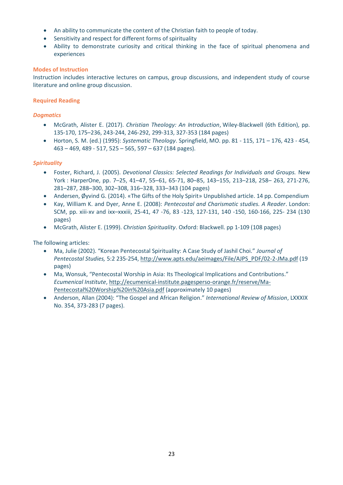- An ability to communicate the content of the Christian faith to people of today.
- Sensitivity and respect for different forms of spirituality
- Ability to demonstrate curiosity and critical thinking in the face of spiritual phenomena and experiences

#### **Modes of Instruction**

Instruction includes interactive lectures on campus, group discussions, and independent study of course literature and online group discussion.

#### **Required Reading**

#### *Dogmatics*

- McGrath, Alister E. (2017). *Christian Theology: An Introduction*, Wiley-Blackwell (6th Edition), pp. 135-170, 175–236, 243-244, 246-292, 299-313, 327-353 (184 pages)
- Horton, S. M. (ed.) (1995): *Systematic Theology*. Springfield, MO. pp. 81 115, 171 176, 423 454, 463 – 469, 489 - 517, 525 – 565, 597 – 637 (184 pages).

#### *Spirituality*

- Foster, Richard, J. (2005). *Devotional Classics: Selected Readings for Individuals and Groups.* New York : HarperOne, pp. 7–25, 41–47, 55–61, 65-71, 80–85, 143–155, 213–218, 258– 263, 271-276, 281–287, 288–300, 302–308, 316–328, 333–343 (104 pages)
- Andersen, Øyvind G. (2014). «The Gifts of the Holy Spirit» Unpublished article. 14 pp. Compendium
- Kay, William K. and Dyer, Anne E. (2008): *Pentecostal and Charismatic studies. A Reader*. London: SCM, pp. xiii-xv and ixx–xxxiii, 25-41, 47 -76, 83 -123, 127-131, 140 -150, 160-166, 225- 234 (130 pages)
- McGrath, Alister E. (1999). *Christian Spirituality*. Oxford: Blackwell. pp 1-109 (108 pages)

#### The following articles:

- Ma, Julie (2002). "Korean Pentecostal Spirituality: A Case Study of Jashil Choi." *Journal of Pentecostal Studies,* 5:2 235-254, [http://www.apts.edu/aeimages/File/AJPS\\_PDF/02-2-JMa.pdf](http://www.apts.edu/aeimages/File/AJPS_PDF/02-2-JMa.pdf) (19 pages)
- Ma, Wonsuk, "Pentecostal Worship in Asia: Its Theological Implications and Contributions." *Ecumenical Institute*, [http://ecumenical-institute.pagesperso-orange.fr/reserve/Ma-](http://ecumenical-institute.pagesperso-orange.fr/reserve/Ma-Pentecostal%20Worship%20in%20Asia.pdf)[Pentecostal%20Worship%20in%20Asia.pdf](http://ecumenical-institute.pagesperso-orange.fr/reserve/Ma-Pentecostal%20Worship%20in%20Asia.pdf) (approximately 10 pages)
- Anderson, Allan (2004): "The Gospel and African Religion." *International Review of Mission*, LXXXIX No. 354, 373-283 (7 pages).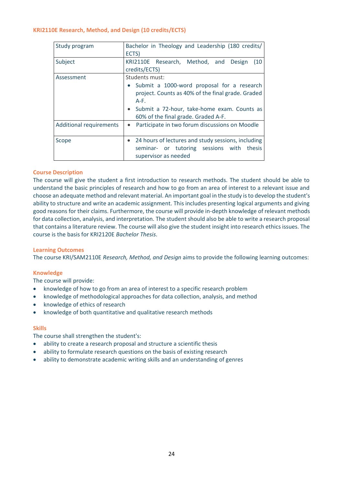#### <span id="page-23-0"></span>**KRI2110E Research, Method, and Design (10 credits/ECTS)**

| Study program                  | Bachelor in Theology and Leadership (180 credits/<br>ECTS)                                                                                                                                                                       |
|--------------------------------|----------------------------------------------------------------------------------------------------------------------------------------------------------------------------------------------------------------------------------|
| Subject                        | KRI2110E Research, Method, and<br>Design<br>(10)<br>credits/ECTS)                                                                                                                                                                |
| Assessment                     | Students must:<br>• Submit a 1000-word proposal for a research<br>project. Counts as 40% of the final grade. Graded<br>$A-F.$<br>Submit a 72-hour, take-home exam. Counts as<br>$\bullet$<br>60% of the final grade. Graded A-F. |
| <b>Additional requirements</b> | Participate in two forum discussions on Moodle<br>$\bullet$                                                                                                                                                                      |
| Scope                          | • 24 hours of lectures and study sessions, including<br>seminar- or tutoring sessions with thesis<br>supervisor as needed                                                                                                        |

#### **Course Description**

The course will give the student a first introduction to research methods. The student should be able to understand the basic principles of research and how to go from an area of interest to a relevant issue and choose an adequate method and relevant material. An important goal in the study is to develop the student's ability to structure and write an academic assignment. This includes presenting logical arguments and giving good reasons for their claims. Furthermore, the course will provide in-depth knowledge of relevant methods for data collection, analysis, and interpretation. The student should also be able to write a research proposal that contains a literature review. The course will also give the student insight into research ethics issues. The course is the basis for KRI2120E *Bachelor Thesis*.

#### **Learning Outcomes**

The course KRI/SAM2110E *Research, Method, and Design* aims to provide the following learning outcomes:

#### **Knowledge**

The course will provide:

- knowledge of how to go from an area of interest to a specific research problem
- knowledge of methodological approaches for data collection, analysis, and method
- knowledge of ethics of research
- knowledge of both quantitative and qualitative research methods

#### **Skills**

The course shall strengthen the student's:

- ability to create a research proposal and structure a scientific thesis
- ability to formulate research questions on the basis of existing research
- ability to demonstrate academic writing skills and an understanding of genres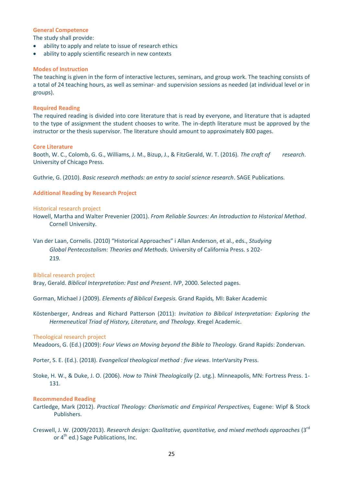#### **General Competence**

The study shall provide:

- ability to apply and relate to issue of research ethics
- ability to apply scientific research in new contexts

#### **Modes of Instruction**

The teaching is given in the form of interactive lectures, seminars, and group work. The teaching consists of a total of 24 teaching hours, as well as seminar- and supervision sessions as needed (at individual level or in groups).

#### **Required Reading**

The required reading is divided into core literature that is read by everyone, and literature that is adapted to the type of assignment the student chooses to write. The in-depth literature must be approved by the instructor or the thesis supervisor. The literature should amount to approximately 800 pages.

#### **Core Literature**

Booth, W. C., Colomb, G. G., Williams, J. M., Bizup, J., & FitzGerald, W. T. (2016). *The craft of research*. University of Chicago Press.

Guthrie, G. (2010). *Basic research methods: an entry to social science research*. SAGE Publications.

#### **Additional Reading by Research Project**

#### Historical research project

- Howell, Martha and Walter Prevenier (2001). *From Reliable Sources: An Introduction to Historical Method*. Cornell University.
- Van der Laan, Cornelis. (2010) "Historical Approaches" i Allan Anderson, et al., eds., *Studying Global Pentecostalism: Theories and Methods.* University of California Press. s 202- 219*.*

Biblical research project

Bray, Gerald. *Biblical Interpretation: Past and Present*. IVP, 2000. Selected pages.

Gorman, Michael J (2009). *Elements of Biblical Exegesis.* Grand Rapids*,* MI: Baker Academic

Köstenberger, Andreas and Richard Patterson (2011): *Invitation to Biblical Interpretation: Exploring the Hermeneutical Triad of History, Literature, and Theology.* Kregel Academic.

#### Theological research project

Meadoors, G. (Ed.) (2009): *Four Views on Moving beyond the Bible to Theology.* Grand Rapids: Zondervan.

Porter, S. E. (Ed.). (2018). *Evangelical theological method : five views*. InterVarsity Press.

Stoke, H. W., & Duke, J. O. (2006). *How to Think Theologically* (2. utg.). Minneapolis, MN: Fortress Press. 1- 131.

#### **Recommended Reading**

- Cartledge, Mark (2012). *Practical Theology: Charismatic and Empirical Perspectives,* Eugene: Wipf & Stock Publishers.
- Creswell, J. W. (2009/2013). *Research design: Qualitative, quantitative, and mixed methods approaches* (3rd or 4<sup>th</sup> ed.) Sage Publications, Inc.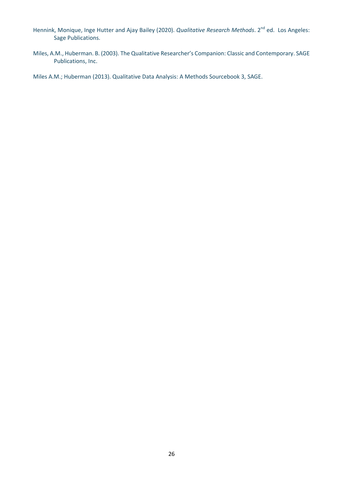- Hennink, Monique, Inge Hutter and Ajay Bailey (2020). *Qualitative Research Methods*. 2<sup>nd</sup> ed. Los Angeles: Sage Publications.
- Miles, A.M., Huberman. B. (2003). The Qualitative Researcher's Companion: Classic and Contemporary. SAGE Publications, Inc.

Miles A.M.; Huberman (2013). Qualitative Data Analysis: A Methods Sourcebook 3, SAGE.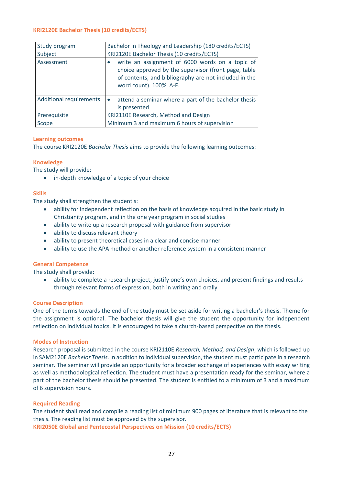#### <span id="page-26-0"></span>**KRI2120E Bachelor Thesis (10 credits/ECTS)**

| Study program                  | Bachelor in Theology and Leadership (180 credits/ECTS)                                                                                                                                      |
|--------------------------------|---------------------------------------------------------------------------------------------------------------------------------------------------------------------------------------------|
| Subject                        | KRI2120E Bachelor Thesis (10 credits/ECTS)                                                                                                                                                  |
| Assessment                     | write an assignment of 6000 words on a topic of<br>choice approved by the supervisor (front page, table<br>of contents, and bibliography are not included in the<br>word count). 100%. A-F. |
| <b>Additional requirements</b> | attend a seminar where a part of the bachelor thesis<br>is presented                                                                                                                        |
| Prerequisite                   | KRI2110E Research, Method and Design                                                                                                                                                        |
| Scope                          | Minimum 3 and maximum 6 hours of supervision                                                                                                                                                |

#### **Learning outcomes**

The course KRI2120E *Bachelor Thesis* aims to provide the following learning outcomes:

#### **Knowledge**

The study will provide:

• in-depth knowledge of a topic of your choice

#### **Skills**

The study shall strengthen the student's:

- ability for independent reflection on the basis of knowledge acquired in the basic study in Christianity program, and in the one year program in social studies
- ability to write up a research proposal with guidance from supervisor
- ability to discuss relevant theory
- ability to present theoretical cases in a clear and concise manner
- ability to use the APA method or another reference system in a consistent manner

#### **General Competence**

The study shall provide:

• ability to complete a research project, justify one's own choices, and present findings and results through relevant forms of expression, both in writing and orally

#### **Course Description**

One of the terms towards the end of the study must be set aside for writing a bachelor's thesis. Theme for the assignment is optional. The bachelor thesis will give the student the opportunity for independent reflection on individual topics. It is encouraged to take a church-based perspective on the thesis.

#### **Modes of Instruction**

Research proposal is submitted in the course KRI2110E *Research, Method, and Design*, which is followed up in SAM2120E *Bachelor Thesis*. In addition to individual supervision, the student must participate in a research seminar. The seminar will provide an opportunity for a broader exchange of experiences with essay writing as well as methodological reflection. The student must have a presentation ready for the seminar, where a part of the bachelor thesis should be presented. The student is entitled to a minimum of 3 and a maximum of 6 supervision hours.

#### **Required Reading**

<span id="page-26-1"></span>The student shall read and compile a reading list of minimum 900 pages of literature that is relevant to the thesis. The reading list must be approved by the supervisor. **KRI2050E Global and Pentecostal Perspectives on Mission (10 credits/ECTS)**

27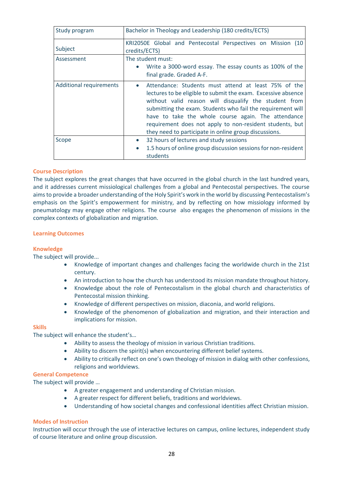| Study program                  | Bachelor in Theology and Leadership (180 credits/ECTS)                                                                                                                                                                                                                                                                                                                                                                                 |
|--------------------------------|----------------------------------------------------------------------------------------------------------------------------------------------------------------------------------------------------------------------------------------------------------------------------------------------------------------------------------------------------------------------------------------------------------------------------------------|
| Subject                        | KRI2050E Global and Pentecostal Perspectives on Mission (10<br>credits/ECTS)                                                                                                                                                                                                                                                                                                                                                           |
| Assessment                     | The student must:<br>Write a 3000-word essay. The essay counts as 100% of the<br>final grade. Graded A-F.                                                                                                                                                                                                                                                                                                                              |
| <b>Additional requirements</b> | Attendance: Students must attend at least 75% of the<br>$\bullet$<br>lectures to be eligible to submit the exam. Excessive absence<br>without valid reason will disqualify the student from<br>submitting the exam. Students who fail the requirement will<br>have to take the whole course again. The attendance<br>requirement does not apply to non-resident students, but<br>they need to participate in online group discussions. |
| Scope                          | 32 hours of lectures and study sessions<br>$\bullet$<br>1.5 hours of online group discussion sessions for non-resident<br>$\bullet$<br>students                                                                                                                                                                                                                                                                                        |

#### **Course Description**

The subject explores the great changes that have occurred in the global church in the last hundred years, and it addresses current missiological challenges from a global and Pentecostal perspectives. The course aims to provide a broader understanding of the Holy Spirit's work in the world by discussing Pentecostalism's emphasis on the Spirit's empowerment for ministry, and by reflecting on how missiology informed by pneumatology may engage other religions. The course also engages the phenomenon of missions in the complex contexts of globalization and migration.

#### **Learning Outcomes**

#### **Knowledge**

The subject will provide...

- Knowledge of important changes and challenges facing the worldwide church in the 21st century.
- An introduction to how the church has understood its mission mandate throughout history.
- Knowledge about the role of Pentecostalism in the global church and characteristics of Pentecostal mission thinking.
- Knowledge of different perspectives on mission, diaconia, and world religions.
- Knowledge of the phenomenon of globalization and migration, and their interaction and implications for mission.

#### **Skills**

The subject will enhance the student's…

- Ability to assess the theology of mission in various Christian traditions.
- Ability to discern the spirit(s) when encountering different belief systems.
- Ability to critically reflect on one's own theology of mission in dialog with other confessions, religions and worldviews.

#### **General Competence**

The subject will provide …

- A greater engagement and understanding of Christian mission.
- A greater respect for different beliefs, traditions and worldviews.
- Understanding of how societal changes and confessional identities affect Christian mission.

#### **Modes of Instruction**

Instruction will occur through the use of interactive lectures on campus, online lectures, independent study of course literature and online group discussion.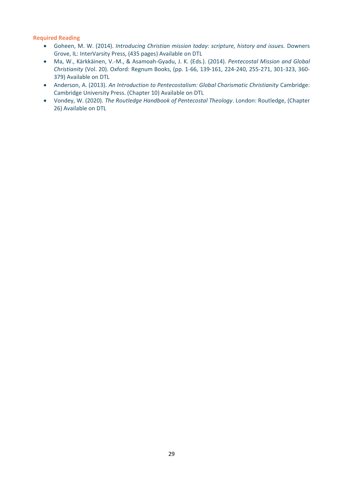#### **Required Reading**

- Goheen, M. W. (2014). *Introducing Christian mission today: scripture, history and issues.* Downers Grove, IL: InterVarsity Press, (435 pages) Available on DTL
- Ma, W., Kärkkäinen, V.-M., & Asamoah-Gyadu, J. K. (Eds.). (2014). *Pentecostal Mission and Global Christianity* (Vol. 20). Oxford: Regnum Books, (pp. 1-66, 139-161, 224-240, 255-271, 301-323, 360- 379) Available on DTL
- Anderson, A. (2013). *An Introduction to Pentecostalism: Global Charismatic Christianity* Cambridge: Cambridge University Press. (Chapter 10) Available on DTL
- Vondey, W. (2020). *The Routledge Handbook of Pentecostal Theology*. London: Routledge, (Chapter 26) Available on DTL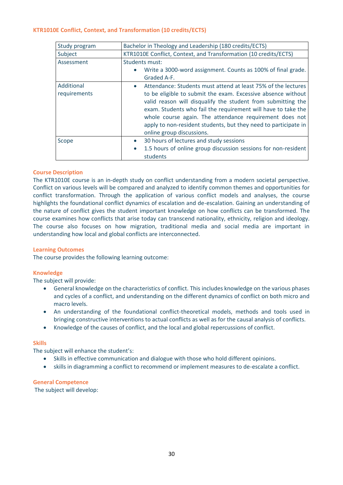#### <span id="page-29-0"></span>**KTR1010E Conflict, Context, and Transformation (10 credits/ECTS)**

| Study program              | Bachelor in Theology and Leadership (180 credits/ECTS)                                                                                                                                                                                                                                                                                                                                                                                 |
|----------------------------|----------------------------------------------------------------------------------------------------------------------------------------------------------------------------------------------------------------------------------------------------------------------------------------------------------------------------------------------------------------------------------------------------------------------------------------|
| Subject                    | KTR1010E Conflict, Context, and Transformation (10 credits/ECTS)                                                                                                                                                                                                                                                                                                                                                                       |
| Assessment                 | Students must:<br>Write a 3000-word assignment. Counts as 100% of final grade.<br>$\bullet$<br>Graded A-F.                                                                                                                                                                                                                                                                                                                             |
| Additional<br>requirements | Attendance: Students must attend at least 75% of the lectures<br>$\bullet$<br>to be eligible to submit the exam. Excessive absence without<br>valid reason will disqualify the student from submitting the<br>exam. Students who fail the requirement will have to take the<br>whole course again. The attendance requirement does not<br>apply to non-resident students, but they need to participate in<br>online group discussions. |
| Scope                      | 30 hours of lectures and study sessions<br>$\bullet$<br>1.5 hours of online group discussion sessions for non-resident<br>$\bullet$<br>students                                                                                                                                                                                                                                                                                        |

#### **Course Description**

The KTR1010E course is an in-depth study on conflict understanding from a modern societal perspective. Conflict on various levels will be compared and analyzed to identify common themes and opportunities for conflict transformation. Through the application of various conflict models and analyses, the course highlights the foundational conflict dynamics of escalation and de-escalation. Gaining an understanding of the nature of conflict gives the student important knowledge on how conflicts can be transformed. The course examines how conflicts that arise today can transcend nationality, ethnicity, religion and ideology. The course also focuses on how migration, traditional media and social media are important in understanding how local and global conflicts are interconnected.

#### **Learning Outcomes**

The course provides the following learning outcome:

#### **Knowledge**

The subject will provide:

- General knowledge on the characteristics of conflict. This includes knowledge on the various phases and cycles of a conflict, and understanding on the different dynamics of conflict on both micro and macro levels.
- An understanding of the foundational conflict-theoretical models, methods and tools used in bringing constructive interventions to actual conflicts as well as for the causal analysis of conflicts.
- Knowledge of the causes of conflict, and the local and global repercussions of conflict.

#### **Skills**

The subject will enhance the student's:

- Skills in effective communication and dialogue with those who hold different opinions.
- skills in diagramming a conflict to recommend or implement measures to de-escalate a conflict.

#### **General Competence**

The subject will develop: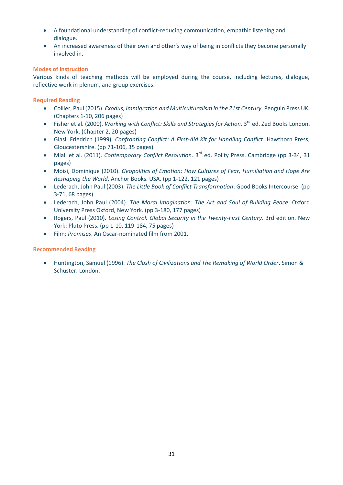- A foundational understanding of conflict-reducing communication, empathic listening and dialogue.
- An increased awareness of their own and other's way of being in conflicts they become personally involved in.

#### **Modes of Instruction**

Various kinds of teaching methods will be employed during the course, including lectures, dialogue, reflective work in plenum, and group exercises.

#### **Required Reading**

- Collier, Paul (2015). *Exodus, Immigration and Multiculturalism in the 21st Century*. Penguin Press UK. (Chapters 1-10, 206 pages)
- Fisher et al. (2000). *Working with Conflict: Skills and Strategies for Action*. 3<sup>rd</sup> ed. Zed Books London. New York. (Chapter 2, 20 pages)
- Glasl, Friedrich (1999). *Confronting Conflict: A First-Aid Kit for Handling Conflict*. Hawthorn Press, Gloucestershire. (pp 71-106, 35 pages)
- Miall et al. (2011). *Contemporary Conflict Resolution*. 3<sup>rd</sup> ed. Polity Press. Cambridge (pp 3-34, 31 pages)
- Moisi, Dominique (2010). *Geopolitics of Emotion: How Cultures of Fear, Humiliation and Hope Are Reshaping the World*. Anchor Books. USA. (pp 1-122, 121 pages)
- Lederach, John Paul (2003). *The Little Book of Conflict Transformation*. Good Books Intercourse. (pp 3-71, 68 pages)
- Lederach, John Paul (2004). *The Moral Imagination: The Art and Soul of Building Peace*. Oxford University Press Oxford, New York. (pp 3-180, 177 pages)
- Rogers, Paul (2010). *Losing Control: Global Security in the Twenty-First Century*. 3rd edition. New York: Pluto Press. (pp 1-10, 119-184, 75 pages)
- Film: *Promises*. An Oscar-nominated film from 2001.

#### **Recommended Reading**

• Huntington, Samuel (1996). *The Clash of Civilizations and The Remaking of World Order*. Simon & Schuster. London.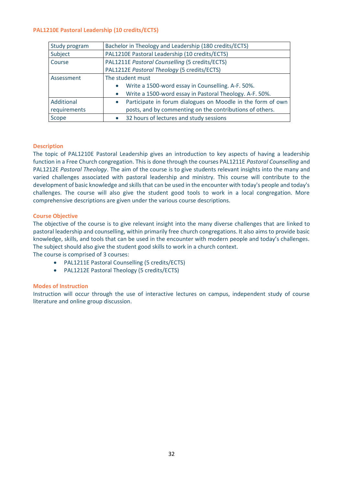#### <span id="page-31-0"></span>**PAL1210E Pastoral Leadership (10 credits/ECTS)**

| Study program | Bachelor in Theology and Leadership (180 credits/ECTS)                   |
|---------------|--------------------------------------------------------------------------|
| Subject       | PAL1210E Pastoral Leadership (10 credits/ECTS)                           |
| Course        | PAL1211E Pastoral Counselling (5 credits/ECTS)                           |
|               | PAL1212E Pastoral Theology (5 credits/ECTS)                              |
| Assessment    | The student must                                                         |
|               | Write a 1500-word essay in Counselling. A-F. 50%.<br>$\bullet$           |
|               | Write a 1500-word essay in Pastoral Theology. A-F. 50%.                  |
| Additional    | Participate in forum dialogues on Moodle in the form of own<br>$\bullet$ |
| requirements  | posts, and by commenting on the contributions of others.                 |
| Scope         | 32 hours of lectures and study sessions<br>$\bullet$                     |

#### **Description**

The topic of PAL1210E Pastoral Leadership gives an introduction to key aspects of having a leadership function in a Free Church congregation. This is done through the courses PAL1211E *Pastoral Counselling* and PAL1212E *Pastoral Theology*. The aim of the course is to give students relevant insights into the many and varied challenges associated with pastoral leadership and ministry. This course will contribute to the development of basic knowledge and skills that can be used in the encounter with today's people and today's challenges. The course will also give the student good tools to work in a local congregation. More comprehensive descriptions are given under the various course descriptions.

#### **Course Objective**

The objective of the course is to give relevant insight into the many diverse challenges that are linked to pastoral leadership and counselling, within primarily free church congregations. It also aims to provide basic knowledge, skills, and tools that can be used in the encounter with modern people and today's challenges. The subject should also give the student good skills to work in a church context.

The course is comprised of 3 courses:

- PAL1211E Pastoral Counselling (5 credits/ECTS)
- PAL1212E Pastoral Theology (5 credits/ECTS)

#### **Modes of Instruction**

Instruction will occur through the use of interactive lectures on campus, independent study of course literature and online group discussion.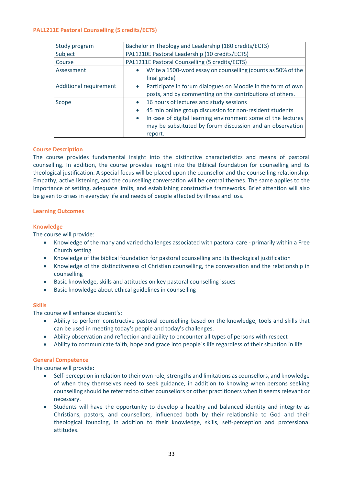#### <span id="page-32-0"></span>**PAL1211E Pastoral Counselling (5 credits/ECTS)**

| Study program          | Bachelor in Theology and Leadership (180 credits/ECTS)                                                                                                                                                                                                                             |
|------------------------|------------------------------------------------------------------------------------------------------------------------------------------------------------------------------------------------------------------------------------------------------------------------------------|
| Subject                | PAL1210E Pastoral Leadership (10 credits/ECTS)                                                                                                                                                                                                                                     |
| Course                 | PAL1211E Pastoral Counselling (5 credits/ECTS)                                                                                                                                                                                                                                     |
| Assessment             | Write a 1500-word essay on counselling (counts as 50% of the<br>$\bullet$<br>final grade)                                                                                                                                                                                          |
| Additional requirement | Participate in forum dialogues on Moodle in the form of own<br>posts, and by commenting on the contributions of others.                                                                                                                                                            |
| Scope                  | 16 hours of lectures and study sessions<br>$\bullet$<br>45 min online group discussion for non-resident students<br>$\bullet$<br>In case of digital learning environment some of the lectures<br>$\bullet$<br>may be substituted by forum discussion and an observation<br>report. |

#### **Course Description**

The course provides fundamental insight into the distinctive characteristics and means of pastoral counselling. In addition, the course provides insight into the Biblical foundation for counselling and its theological justification. A special focus will be placed upon the counsellor and the counselling relationship. Empathy, active listening, and the counselling conversation will be central themes. The same applies to the importance of setting, adequate limits, and establishing constructive frameworks. Brief attention will also be given to crises in everyday life and needs of people affected by illness and loss.

#### **Learning Outcomes**

#### **Knowledge**

The course will provide:

- Knowledge of the many and varied challenges associated with pastoral care primarily within a Free Church setting
- Knowledge of the biblical foundation for pastoral counselling and its theological justification
- Knowledge of the distinctiveness of Christian counselling, the conversation and the relationship in counselling
- Basic knowledge, skills and attitudes on key pastoral counselling issues
- Basic knowledge about ethical guidelines in counselling

#### **Skills**

The course will enhance student's:

- Ability to perform constructive pastoral counselling based on the knowledge, tools and skills that can be used in meeting today's people and today's challenges.
- Ability observation and reflection and ability to encounter all types of persons with respect
- Ability to communicate faith, hope and grace into people`s life regardless of their situation in life

#### **General Competence**

The course will provide:

- Self-perception in relation to their own role, strengths and limitations as counsellors, and knowledge of when they themselves need to seek guidance, in addition to knowing when persons seeking counselling should be referred to other counsellors or other practitioners when it seems relevant or necessary.
- Students will have the opportunity to develop a healthy and balanced identity and integrity as Christians, pastors, and counsellors, influenced both by their relationship to God and their theological founding, in addition to their knowledge, skills, self-perception and professional attitudes.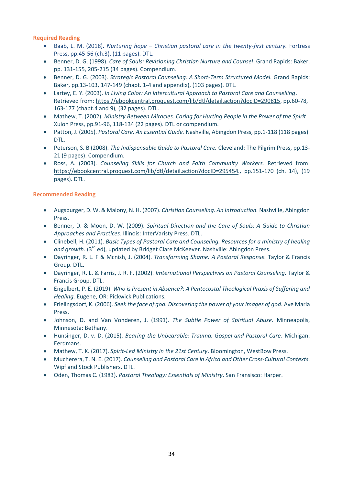**Required Reading**

- Baab, L. M. (2018). *Nurturing hope – Christian pastoral care in the twenty-first century.* Fortress Press, pp.45-56 (ch.3), (11 pages). DTL.
- Benner, D. G. (1998). *Care of Souls: Revisioning Christian Nurture and Counsel*. Grand Rapids: Baker, pp. 131-155, 205-215 (34 pages). Compendium.
- Benner, D. G. (2003). *Strategic Pastoral Counseling: A Short-Term Structured Model.* Grand Rapids: Baker, pp.13-103, 147-149 (chapt. 1-4 and appendix), (103 pages). DTL.
- Lartey, E. Y. (2003). *In Living Color: An Intercultural Approach to Pastoral Care and Counselling*. Retrieved from: [https://ebookcentral.proquest.com/lib/dtl/detail.action?docID=290815,](https://ebookcentral.proquest.com/lib/dtl/detail.action?docID=290815) pp.60-78, 163-177 (chapt.4 and 9), (32 pages). DTL.
- Mathew, T. (2002). *Ministry Between Miracles. Caring for Hurting People in the Power of the Spirit*. Xulon Press, pp.91-96, 118-134 (22 pages). DTL or compendium.
- Patton, J. (2005). *Pastoral Care. An Essential Guide.* Nashville, Abingdon Press, pp.1-118 (118 pages). DTL.
- Peterson, S. B (2008). *The Indispensable Guide to Pastoral Care.* Cleveland: The Pilgrim Press, pp.13- 21 (9 pages). Compendium.
- Ross, A. (2003). *Counseling Skills for Church and Faith Community Workers.* Retrieved from: <https://ebookcentral.proquest.com/lib/dtl/detail.action?docID=295454>*.,* pp.151-170 (ch. 14), (19 pages). DTL.

#### **Recommended Reading**

- Augsburger, D. W. & Malony, N. H. (2007). *Christian Counseling. An Introduction.* Nashville, Abingdon Press.
- Benner, D. & Moon, D. W. (2009). *Spiritual Direction and the Care of Souls: A Guide to Christian Approaches and Practices.* Illinois: InterVaristy Press. DTL.
- Clinebell, H. (2011). *Basic Types of Pastoral Care and Counseling. Resources for a ministry of healing*  and growth. (3<sup>rd</sup> ed), updated by Bridget Clare McKeever. Nashville: Abingdon Press.
- Dayringer, R. L. F & Mcnish, J. (2004). *Transforming Shame: A Pastoral Response.* Taylor & Francis Group. DTL.
- Dayringer, R. L. & Farris, J. R. F. (2002). *Imternational Perspectives on Pastoral Counseling.* Taylor & Francis Group. DTL.
- Engelbert, P. E. (2019). *Who is Present in Absence?: A Pentecostal Theological Praxis of Suffering and Healing.* Eugene, OR: Pickwick Publications.
- Frielingsdorf, K. (2006). *Seek the face of god. Discovering the power of your images of god.* Ave Maria Press.
- Johnson, D. and Van Vonderen, J. (1991). *The Subtle Power of Spiritual Abuse.* Minneapolis, Minnesota: Bethany.
- Hunsinger, D. v. D. (2015). *Bearing the Unbearable: Trauma, Gospel and Pastoral Care.* Michigan: Eerdmans.
- Mathew, T. K. (2017). *Spirit-Led Ministry in the 21st Century*. Bloomington, WestBow Press.
- Mucherera, T. N. E. (2017). *Counseling and Pastoral Care in Africa and Other Cross-Cultural Contexts.*  Wipf and Stock Publishers. DTL.
- Oden, Thomas C. (1983). *Pastoral Theology: Essentials of Ministry*. San Fransisco: Harper.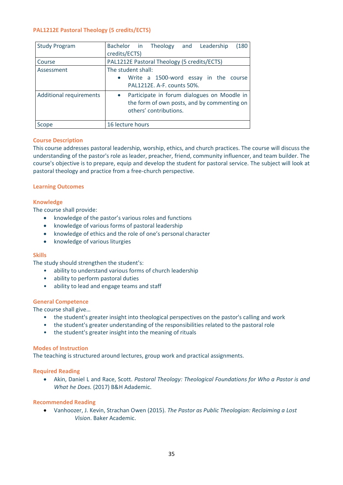#### <span id="page-34-0"></span>**PAL1212E Pastoral Theology (5 credits/ECTS)**

| <b>Study Program</b>           | Bachelor in Theology and Leadership<br>(180<br>credits/ECTS)                                                         |
|--------------------------------|----------------------------------------------------------------------------------------------------------------------|
| Course                         | PAL1212E Pastoral Theology (5 credits/ECTS)                                                                          |
| Assessment                     | The student shall:<br>Write a 1500-word essay in the course<br>PAL1212E. A-F. counts 50%.                            |
| <b>Additional requirements</b> | Participate in forum dialogues on Moodle in<br>the form of own posts, and by commenting on<br>others' contributions. |
| Scope                          | 16 lecture hours                                                                                                     |

#### **Course Description**

This course addresses pastoral leadership, worship, ethics, and church practices. The course will discuss the understanding of the pastor's role as leader, preacher, friend, community influencer, and team builder. The course's objective is to prepare, equip and develop the student for pastoral service. The subject will look at pastoral theology and practice from a free-church perspective.

#### **Learning Outcomes**

#### **Knowledge**

The course shall provide:

- knowledge of the pastor's various roles and functions
- knowledge of various forms of pastoral leadership
- knowledge of ethics and the role of one's personal character
- knowledge of various liturgies

#### **Skills**

The study should strengthen the student's:

- ability to understand various forms of church leadership
- ability to perform pastoral duties
- ability to lead and engage teams and staff

#### **General Competence**

The course shall give…

- the student's greater insight into theological perspectives on the pastor's calling and work
- the student's greater understanding of the responsibilities related to the pastoral role
- the student's greater insight into the meaning of rituals

#### **Modes of Instruction**

The teaching is structured around lectures, group work and practical assignments.

#### **Required Reading**

• Akin, Daniel L and Race, Scott. *Pastoral Theology: Theological Foundations for Who a Pastor is and What he Does.* (2017) B&H Adademic.

#### **Recommended Reading**

• Vanhoozer, J. Kevin, Strachan Owen (2015). *The Pastor as Public Theologian: Reclaiming a Lost Vision*. Baker Academic.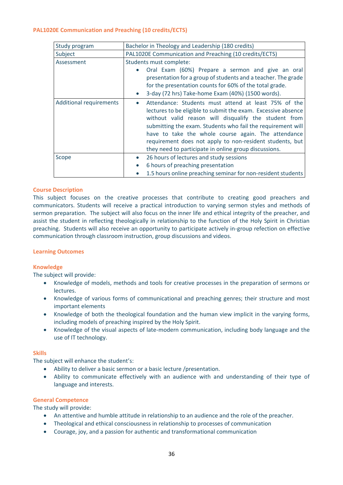#### <span id="page-35-0"></span>**PAL1020E Communication and Preaching (10 credits/ECTS)**

| Study program                  | Bachelor in Theology and Leadership (180 credits)                                                                                                                                                                                                                                                                                                                                                                         |
|--------------------------------|---------------------------------------------------------------------------------------------------------------------------------------------------------------------------------------------------------------------------------------------------------------------------------------------------------------------------------------------------------------------------------------------------------------------------|
| Subject                        | PAL1020E Communication and Preaching (10 credits/ECTS)                                                                                                                                                                                                                                                                                                                                                                    |
| Assessment                     | Students must complete:<br>Oral Exam (60%) Prepare a sermon and give an oral<br>presentation for a group of students and a teacher. The grade<br>for the presentation counts for 60% of the total grade.                                                                                                                                                                                                                  |
|                                | 3-day (72 hrs) Take-home Exam (40%) (1500 words).<br>$\bullet$                                                                                                                                                                                                                                                                                                                                                            |
| <b>Additional requirements</b> | Attendance: Students must attend at least 75% of the<br>lectures to be eligible to submit the exam. Excessive absence<br>without valid reason will disqualify the student from<br>submitting the exam. Students who fail the requirement will<br>have to take the whole course again. The attendance<br>requirement does not apply to non-resident students, but<br>they need to participate in online group discussions. |
| Scope                          | 26 hours of lectures and study sessions<br>$\bullet$                                                                                                                                                                                                                                                                                                                                                                      |
|                                | 6 hours of preaching presentation<br>$\bullet$                                                                                                                                                                                                                                                                                                                                                                            |
|                                | 1.5 hours online preaching seminar for non-resident students                                                                                                                                                                                                                                                                                                                                                              |

#### **Course Description**

This subject focuses on the creative processes that contribute to creating good preachers and communicators. Students will receive a practical introduction to varying sermon styles and methods of sermon preparation. The subject will also focus on the inner life and ethical integrity of the preacher, and assist the student in reflecting theologically in relationship to the function of the Holy Spirit in Christian preaching. Students will also receive an opportunity to participate actively in-group refection on effective communication through classroom instruction, group discussions and videos.

#### **Learning Outcomes**

#### **Knowledge**

The subject will provide:

- Knowledge of models, methods and tools for creative processes in the preparation of sermons or lectures.
- Knowledge of various forms of communicational and preaching genres; their structure and most important elements
- Knowledge of both the theological foundation and the human view implicit in the varying forms, including models of preaching inspired by the Holy Spirit.
- Knowledge of the visual aspects of late-modern communication, including body language and the use of IT technology.

#### **Skills**

The subject will enhance the student's:

- Ability to deliver a basic sermon or a basic lecture /presentation.
- Ability to communicate effectively with an audience with and understanding of their type of language and interests.

#### **General Competence**

The study will provide:

- An attentive and humble attitude in relationship to an audience and the role of the preacher.
- Theological and ethical consciousness in relationship to processes of communication
- Courage, joy, and a passion for authentic and transformational communication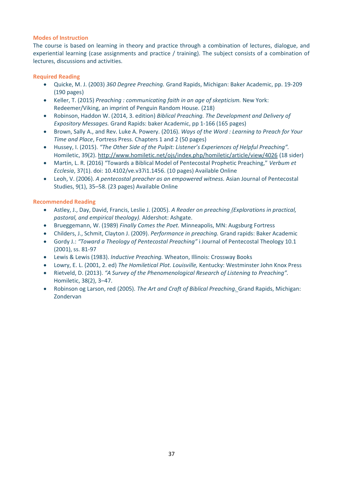#### **Modes of Instruction**

The course is based on learning in theory and practice through a combination of lectures, dialogue, and experiential learning (case assignments and practice / training). The subject consists of a combination of lectures, discussions and activities.

#### **Required Reading**

- Quicke, M. J. (2003) *360 Degree Preaching.* Grand Rapids, Michigan: Baker Academic, pp. 19-209 (190 pages)
- Keller, T. (2015) *Preaching : communicating faith in an age of skepticism.* New York: Redeemer/Viking, an imprint of Penguin Random House. (218)
- Robinson, Haddon W. (2014, 3. edition) *Biblical Preaching. The Development and Delivery of Expository Messages.* Grand Rapids: baker Academic, pp 1-166 (165 pages)
- Brown, Sally A., and Rev. Luke A. Powery. (2016). *Ways of the Word : Learning to Preach for Your Time and Place*, Fortress Press. Chapters 1 and 2 (50 pages)
- Hussey, I. (2015). *"The Other Side of the Pulpit: Listener's Experiences of Helpful Preaching".* Homiletic, 39(2).<http://www.homiletic.net/ojs/index.php/homiletic/article/view/4026> (18 sider)
- Martin, L. R. (2016) "Towards a Biblical Model of Pentecostal Prophetic Preaching," *Verbum et Ecclesia*, 37(1). doi: 10.4102/ve.v37i1.1456. (10 pages) Available Online
- Leoh, V. (2006). *A pentecostal preacher as an empowered witness.* Asian Journal of Pentecostal Studies, 9(1), 35–58. (23 pages) Available Online

#### **Recommended Reading**

- Astley, J., Day, David, Francis, Leslie J. (2005). *A Reader on preaching (Explorations in practical, pastoral, and empirical theology).* Aldershot: Ashgate.
- Brueggemann, W. (1989) *Finally Comes the Poet.* Minneapolis, MN: Augsburg Fortress
- Childers, J., Schmit, Clayton J. (2009). *Performance in preaching.* Grand rapids: Baker Academic
- Gordy J.: *"Toward a Theology of Pentecostal Preaching"* i Journal of Pentecostal Theology 10.1 (2001), ss. 81-97
- Lewis & Lewis (1983). *Inductive Preaching.* Wheaton, Illinois: Crossway Books
- Lowry, E. L. (2001, 2. ed) *The Homiletical Plot. Louisville,* Kentucky: Westminster John Knox Press
- Rietveld, D. (2013). *"A Survey of the Phenomenological Research of Listening to Preaching".* Homiletic, 38(2), 3–47.
- Robinson og Larson, red (2005). *The Art and Craft of Biblical Preaching.* Grand Rapids, Michigan: Zondervan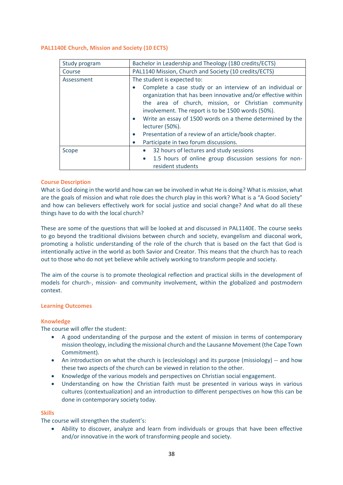#### <span id="page-37-0"></span>**PAL1140E Church, Mission and Society (10 ECTS)**

| Study program | Bachelor in Leadership and Theology (180 credits/ECTS)                                                                                                                                                                                                                                                                  |
|---------------|-------------------------------------------------------------------------------------------------------------------------------------------------------------------------------------------------------------------------------------------------------------------------------------------------------------------------|
| Course        | PAL1140 Mission, Church and Society (10 credits/ECTS)                                                                                                                                                                                                                                                                   |
| Assessment    | The student is expected to:                                                                                                                                                                                                                                                                                             |
|               | Complete a case study or an interview of an individual or<br>organization that has been innovative and/or effective within<br>the area of church, mission, or Christian community<br>involvement. The report is to be 1500 words (50%).<br>Write an essay of 1500 words on a theme determined by the<br>lecturer (50%). |
|               | Presentation of a review of an article/book chapter.<br>$\bullet$                                                                                                                                                                                                                                                       |
|               | Participate in two forum discussions.<br>$\bullet$                                                                                                                                                                                                                                                                      |
| Scope         | 32 hours of lectures and study sessions<br>$\bullet$                                                                                                                                                                                                                                                                    |
|               | 1.5 hours of online group discussion sessions for non-<br>$\bullet$<br>resident students                                                                                                                                                                                                                                |

#### **Course Description**

What is God doing in the world and how can we be involved in what He is doing? What is *mission*, what are the goals of mission and what role does the church play in this work? What is a "A Good Society" and how can believers effectively work for social justice and social change? And what do all these things have to do with the local church?

These are some of the questions that will be looked at and discussed in PAL1140E. The course seeks to go beyond the traditional divisions between church and society, evangelism and diaconal work, promoting a holistic understanding of the role of the church that is based on the fact that God is intentionally active in the world as both Savior and Creator. This means that the church has to reach out to those who do not yet believe while actively working to transform people and society.

The aim of the course is to promote theological reflection and practical skills in the development of models for church-, mission- and community involvement, within the globalized and postmodern context.

#### **Learning Outcomes**

#### **Knowledge**

The course will offer the student:

- A good understanding of the purpose and the extent of mission in terms of contemporary mission theology, including the missional church and the Lausanne Movement (the Cape Town Commitment).
- An introduction on what the church is (ecclesiology) and its purpose (missiology) -- and how these two aspects of the church can be viewed in relation to the other.
- Knowledge of the various models and perspectives on Christian social engagement.
- Understanding on how the Christian faith must be presented in various ways in various cultures (contextualization) and an introduction to different perspectives on how this can be done in contemporary society today.

#### **Skills**

The course will strengthen the student's:

• Ability to discover, analyze and learn from individuals or groups that have been effective and/or innovative in the work of transforming people and society.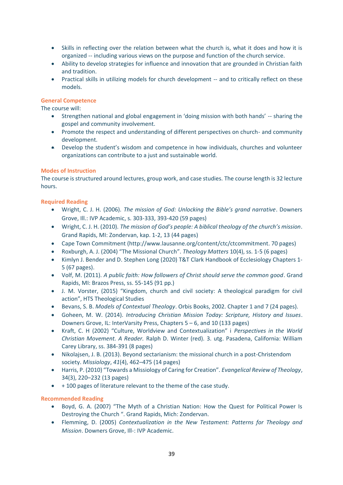- Skills in reflecting over the relation between what the church is, what it does and how it is organized -- including various views on the purpose and function of the church service.
- Ability to develop strategies for influence and innovation that are grounded in Christian faith and tradition.
- Practical skills in utilizing models for church development -- and to critically reflect on these models.

#### **General Competence**

The course will:

- Strengthen national and global engagement in 'doing mission with both hands' -- sharing the gospel and community involvement.
- Promote the respect and understanding of different perspectives on church- and community development.
- Develop the student's wisdom and competence in how individuals, churches and volunteer organizations can contribute to a just and sustainable world.

#### **Modes of Instruction**

The course is structured around lectures, group work, and case studies. The course length is 32 lecture hours.

#### **Required Reading**

- Wright, C. J. H. (2006). *The mission of God: Unlocking the Bible's grand narrative*. Downers Grove, Ill.: IVP Academic, s. 303-333, 393-420 (59 pages)
- Wright, C. J. H. (2010). *The mission of God's people: A biblical theology of the church's mission*. Grand Rapids, MI: Zondervan, kap. 1-2, 13 (44 pages)
- Cape Town Commitment (http://www.lausanne.org/content/ctc/ctcommitment. 70 pages)
- Roxburgh, A. J. (2004) "The Missional Church". *Theology Matters* 10(4), ss. 1-5 (6 pages)
- Kimlyn J. Bender and D. Stephen Long (2020) T&T Clark Handbook of Ecclesiology Chapters 1- 5 (67 pages).
- Volf, M. (2011). *A public faith: How followers of Christ should serve the common good*. Grand Rapids, MI: Brazos Press, ss. 55-145 (91 pp.)
- J. M. Vorster, (2015) "Kingdom, church and civil society: A theological paradigm for civil action", HTS Theological Studies
- Bevans, S. B. *Models of Contextual Theology*. Orbis Books, 2002. Chapter 1 and 7 (24 pages).
- Goheen, M. W. (2014). *Introducing Christian Mission Today: Scripture, History and Issues*. Downers Grove, IL: InterVarsity Press, Chapters 5 – 6, and 10 (133 pages)
- Kraft, C. H (2002) "Culture, Worldview and Contextualization" i *Perspectives in the World Christian Movement. A Reader.* Ralph D. Winter (red). 3. utg. Pasadena, California: William Carey Library, ss. 384-391 (8 pages)
- Nikolajsen, J. B. (2013). Beyond sectarianism: the missional church in a post-Christendom society. *Missiology*, *41*(4), 462–475 (14 pages)
- Harris, P. (2010) "Towards a Missiology of Caring for Creation". *Evangelical Review of Theology*, 34(3), 220–232 (13 pages)
- + 100 pages of literature relevant to the theme of the case study.

#### **Recommended Reading**

- Boyd, G. A. (2007) "The Myth of a Christian Nation: How the Quest for Political Power Is Destroying the Church ". Grand Rapids, Mich: Zondervan.
- Flemming, D. (2005) *Contextualization in the New Testament: Patterns for Theology and Mission*. Downers Grove, Ill-: IVP Academic.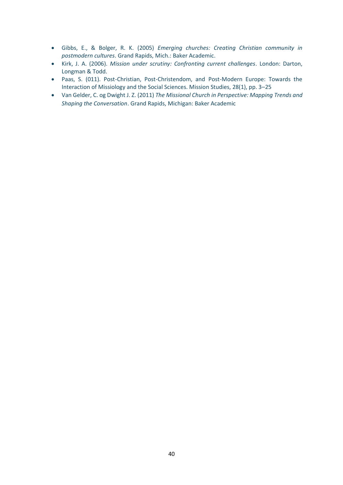- Gibbs, E., & Bolger, R. K. (2005) *Emerging churches: Creating Christian community in postmodern cultures*. Grand Rapids, Mich.: Baker Academic.
- Kirk, J. A. (2006). *Mission under scrutiny: Confronting current challenges*. London: Darton, Longman & Todd.
- Paas, S. (011). Post-Christian, Post-Christendom, and Post-Modern Europe: Towards the Interaction of Missiology and the Social Sciences. Mission Studies, 28(1), pp. 3–25
- Van Gelder, C. og Dwight J. Z. (2011) *The Missional Church in Perspective: Mapping Trends and Shaping the Conversation*. Grand Rapids, Michigan: Baker Academic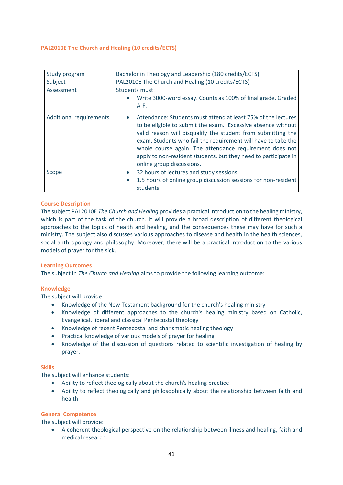#### <span id="page-40-0"></span>**PAL2010E The Church and Healing (10 credits/ECTS)**

| Study program                  | Bachelor in Theology and Leadership (180 credits/ECTS)                                                                                                                                                                                                                                                                                                                                                                                 |
|--------------------------------|----------------------------------------------------------------------------------------------------------------------------------------------------------------------------------------------------------------------------------------------------------------------------------------------------------------------------------------------------------------------------------------------------------------------------------------|
| Subject                        | PAL2010E The Church and Healing (10 credits/ECTS)                                                                                                                                                                                                                                                                                                                                                                                      |
| Assessment                     | Students must:<br>Write 3000-word essay. Counts as 100% of final grade. Graded<br>$A-F.$                                                                                                                                                                                                                                                                                                                                               |
| <b>Additional requirements</b> | Attendance: Students must attend at least 75% of the lectures<br>$\bullet$<br>to be eligible to submit the exam. Excessive absence without<br>valid reason will disqualify the student from submitting the<br>exam. Students who fail the requirement will have to take the<br>whole course again. The attendance requirement does not<br>apply to non-resident students, but they need to participate in<br>online group discussions. |
| Scope                          | 32 hours of lectures and study sessions<br>$\bullet$<br>1.5 hours of online group discussion sessions for non-resident<br>$\bullet$<br>students                                                                                                                                                                                                                                                                                        |

#### **Course Description**

The subject PAL2010E *The Church and Healing* provides a practical introduction to the healing ministry, which is part of the task of the church. It will provide a broad description of different theological approaches to the topics of health and healing, and the consequences these may have for such a ministry. The subject also discusses various approaches to disease and health in the health sciences, social anthropology and philosophy. Moreover, there will be a practical introduction to the various models of prayer for the sick.

#### **Learning Outcomes**

The subject in *The Church and Healing* aims to provide the following learning outcome:

#### **Knowledge**

The subject will provide:

- Knowledge of the New Testament background for the church's healing ministry
- Knowledge of different approaches to the church's healing ministry based on Catholic, Evangelical, liberal and classical Pentecostal theology
- Knowledge of recent Pentecostal and charismatic healing theology
- Practical knowledge of various models of prayer for healing
- Knowledge of the discussion of questions related to scientific investigation of healing by prayer.

#### **Skills**

The subject will enhance students:

- Ability to reflect theologically about the church's healing practice
- Ability to reflect theologically and philosophically about the relationship between faith and health

#### **General Competence**

The subject will provide:

• A coherent theological perspective on the relationship between illness and healing, faith and medical research.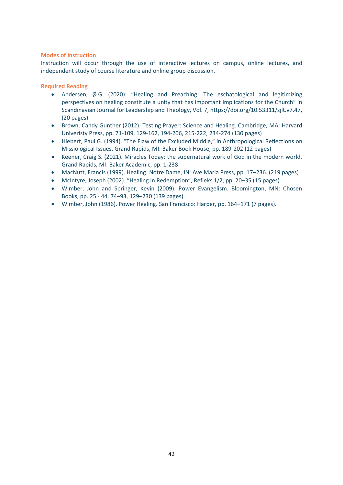#### **Modes of Instruction**

Instruction will occur through the use of interactive lectures on campus, online lectures, and independent study of course literature and online group discussion.

#### **Required Reading**

- Andersen, Ø.G. (2020): "Healing and Preaching: The eschatological and legitimizing perspectives on healing constitute a unity that has important implications for the Church" in Scandinavian Journal for Leadership and Theology, Vol. 7, https://doi.org/10.53311/sjlt.v7.47, (20 pages)
- Brown, Candy Gunther (2012). Testing Prayer: Science and Healing. Cambridge, MA: Harvard Univeristy Press, pp. 71-109, 129-162, 194-206, 215-222, 234-274 (130 pages)
- Hiebert, Paul G. (1994). "The Flaw of the Excluded Middle," in Anthropological Reflections on Missiological Issues. Grand Rapids, MI: Baker Book House, pp. 189-202 (12 pages)
- Keener, Craig S. (2021). Miracles Today: the supernatural work of God in the modern world. Grand Rapids, MI: Baker Academic, pp. 1-238
- MacNutt, Francis (1999). Healing. Notre Dame, IN: Ave Maria Press, pp. 17–236. (219 pages)
- McIntyre, Joseph (2002). "Healing in Redemption", Refleks 1/2, pp. 20–35 (15 pages)
- Wimber, John and Springer, Kevin (2009). Power Evangelism. Bloomington, MN: Chosen Books, pp. 25 - 44, 74–93, 129–230 (139 pages)
- Wimber, John (1986). Power Healing. San Francisco: Harper, pp. 164–171 (7 pages).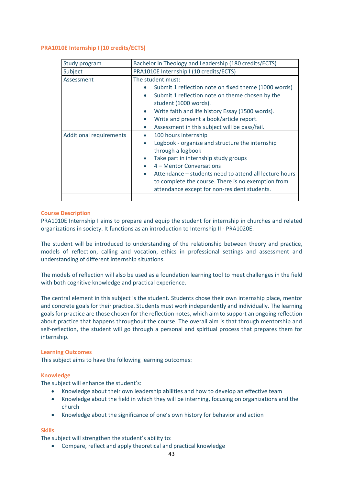#### <span id="page-42-0"></span>**PRA1010E Internship I (10 credits/ECTS)**

| Study program                  | Bachelor in Theology and Leadership (180 credits/ECTS)                                                                                                                                                                                                                                                                                                                                            |
|--------------------------------|---------------------------------------------------------------------------------------------------------------------------------------------------------------------------------------------------------------------------------------------------------------------------------------------------------------------------------------------------------------------------------------------------|
| Subject                        | PRA1010E Internship I (10 credits/ECTS)                                                                                                                                                                                                                                                                                                                                                           |
| Assessment                     | The student must:<br>Submit 1 reflection note on fixed theme (1000 words)<br>Submit 1 reflection note on theme chosen by the<br>$\bullet$<br>student (1000 words).<br>Write faith and life history Essay (1500 words).<br>$\bullet$<br>Write and present a book/article report.<br>$\bullet$<br>Assessment in this subject will be pass/fail.<br>$\bullet$                                        |
| <b>Additional requirements</b> | 100 hours internship<br>$\bullet$<br>Logbook - organize and structure the internship<br>$\bullet$<br>through a logbook<br>Take part in internship study groups<br>$\bullet$<br>4 – Mentor Conversations<br>$\bullet$<br>Attendance – students need to attend all lecture hours<br>$\bullet$<br>to complete the course. There is no exemption from<br>attendance except for non-resident students. |
|                                |                                                                                                                                                                                                                                                                                                                                                                                                   |

#### **Course Description**

PRA1010E Internship I aims to prepare and equip the student for internship in churches and related organizations in society. It functions as an introduction to Internship II - PRA1020E.

The student will be introduced to understanding of the relationship between theory and practice, models of reflection, calling and vocation, ethics in professional settings and assessment and understanding of different internship situations.

The models of reflection will also be used as a foundation learning tool to meet challenges in the field with both cognitive knowledge and practical experience.

The central element in this subject is the student. Students chose their own internship place, mentor and concrete goals for their practice. Students must work independently and individually. The learning goals for practice are those chosen for the reflection notes, which aim to support an ongoing reflection about practice that happens throughout the course. The overall aim is that through mentorship and self-reflection, the student will go through a personal and spiritual process that prepares them for internship.

#### **Learning Outcomes**

This subject aims to have the following learning outcomes:

#### **Knowledge**

The subject will enhance the student's:

- Knowledge about their own leadership abilities and how to develop an effective team
- Knowledge about the field in which they will be interning, focusing on organizations and the church
- Knowledge about the significance of one's own history for behavior and action

#### **Skills**

The subject will strengthen the student's ability to:

• Compare, reflect and apply theoretical and practical knowledge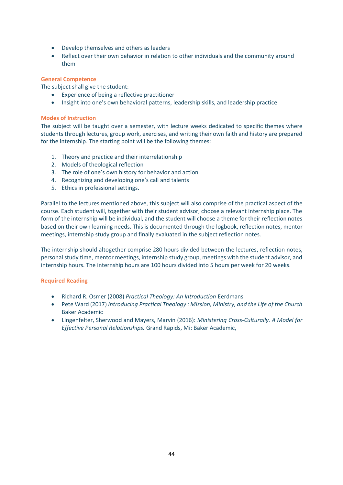- Develop themselves and others as leaders
- Reflect over their own behavior in relation to other individuals and the community around them

#### **General Competence**

The subject shall give the student:

- Experience of being a reflective practitioner
- Insight into one's own behavioral patterns, leadership skills, and leadership practice

#### **Modes of Instruction**

The subject will be taught over a semester, with lecture weeks dedicated to specific themes where students through lectures, group work, exercises, and writing their own faith and history are prepared for the internship. The starting point will be the following themes:

- 1. Theory and practice and their interrelationship
- 2. Models of theological reflection
- 3. The role of one's own history for behavior and action
- 4. Recognizing and developing one's call and talents
- 5. Ethics in professional settings.

Parallel to the lectures mentioned above, this subject will also comprise of the practical aspect of the course. Each student will, together with their student advisor, choose a relevant internship place. The form of the internship will be individual, and the student will choose a theme for their reflection notes based on their own learning needs. This is documented through the logbook, reflection notes, mentor meetings, internship study group and finally evaluated in the subject reflection notes.

The internship should altogether comprise 280 hours divided between the lectures, reflection notes, personal study time, mentor meetings, internship study group, meetings with the student advisor, and internship hours. The internship hours are 100 hours divided into 5 hours per week for 20 weeks.

#### **Required Reading**

- Richard R. Osmer (2008) *Practical Theology: An Introduction* Eerdmans
- Pete Ward (2017) *Introducing Practical Theology : Mission, Ministry, and the Life of the Church* Baker Academic
- Lingenfelter, Sherwood and Mayers, Marvin (2016): *Ministering Cross-Culturally. A Model for Effective Personal Relationships.* Grand Rapids, Mi: Baker Academic,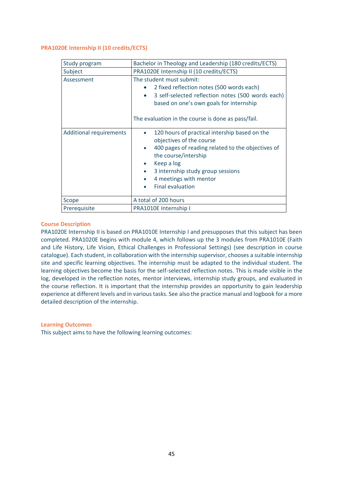#### <span id="page-44-0"></span>**PRA1020E Internship II (10 credits/ECTS)**

| Study program                  | Bachelor in Theology and Leadership (180 credits/ECTS)                                                                                                                                                                                                                      |
|--------------------------------|-----------------------------------------------------------------------------------------------------------------------------------------------------------------------------------------------------------------------------------------------------------------------------|
| Subject                        | PRA1020E Internship II (10 credits/ECTS)                                                                                                                                                                                                                                    |
| Assessment                     | The student must submit:<br>2 fixed reflection notes (500 words each)<br>3 self-selected reflection notes (500 words each)<br>$\bullet$<br>based on one's own goals for internship<br>The evaluation in the course is done as pass/fail.                                    |
| <b>Additional requirements</b> | 120 hours of practical intership based on the<br>objectives of the course<br>400 pages of reading related to the objectives of<br>$\bullet$<br>the course/intership<br>Keep a log<br>3 internship study group sessions<br>4 meetings with mentor<br><b>Final evaluation</b> |
| Scope                          | A total of 200 hours                                                                                                                                                                                                                                                        |
| Prerequisite                   | PRA1010E Internship I                                                                                                                                                                                                                                                       |

#### **Course Description**

PRA1020E Internship II is based on PRA1010E Internship I and presupposes that this subject has been completed. PRA1020E begins with module 4, which follows up the 3 modules from PRA1010E (Faith and Life History, Life Vision, Ethical Challenges in Professional Settings) (see description in course catalogue). Each student, in collaboration with the internship supervisor, chooses a suitable internship site and specific learning objectives. The internship must be adapted to the individual student. The learning objectives become the basis for the self-selected reflection notes. This is made visible in the log, developed in the reflection notes, mentor interviews, internship study groups, and evaluated in the course reflection. It is important that the internship provides an opportunity to gain leadership experience at different levels and in various tasks. See also the practice manual and logbook for a more detailed description of the internship.

#### **Learning Outcomes**

This subject aims to have the following learning outcomes: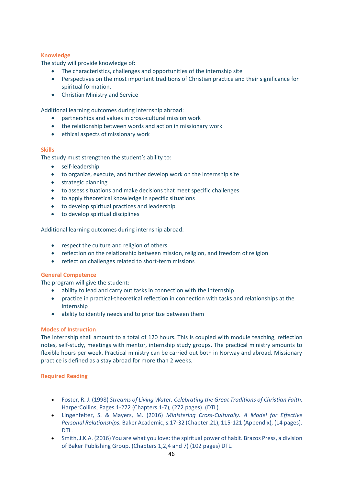#### **Knowledge**

The study will provide knowledge of:

- The characteristics, challenges and opportunities of the internship site
- Perspectives on the most important traditions of Christian practice and their significance for spiritual formation.
- Christian Ministry and Service

Additional learning outcomes during internship abroad:

- partnerships and values in cross-cultural mission work
- the relationship between words and action in missionary work
- ethical aspects of missionary work

#### **Skills**

The study must strengthen the student's ability to:

- self-leadership
- to organize, execute, and further develop work on the internship site
- strategic planning
- to assess situations and make decisions that meet specific challenges
- to apply theoretical knowledge in specific situations
- to develop spiritual practices and leadership
- to develop spiritual disciplines

Additional learning outcomes during internship abroad:

- respect the culture and religion of others
- reflection on the relationship between mission, religion, and freedom of religion
- reflect on challenges related to short-term missions

#### **General Competence**

The program will give the student:

- ability to lead and carry out tasks in connection with the internship
- practice in practical-theoretical reflection in connection with tasks and relationships at the internship
- ability to identify needs and to prioritize between them

#### **Modes of Instruction**

The internship shall amount to a total of 120 hours. This is coupled with module teaching, reflection notes, self-study, meetings with mentor, internship study groups. The practical ministry amounts to flexible hours per week. Practical ministry can be carried out both in Norway and abroad. Missionary practice is defined as a stay abroad for more than 2 weeks.

#### **Required Reading**

- Foster, R. J. (1998) *Streams of Living Water. Celebrating the Great Traditions of Christian Faith.*  HarperCollins, Pages.1-272 (Chapters.1-7), (272 pages). (DTL).
- Lingenfelter, S. & Mayers, M. (2016) *Ministering Cross-Culturally. A Model for Effective Personal Relationships.* Baker Academic, s.17-32 (Chapter.21), 115-121 (Appendix), (14 pages). DTL.
- Smith, J.K.A. (2016) You are what you love: the spiritual power of habit. Brazos Press, a division of Baker Publishing Group. (Chapters 1,2,4 and 7) (102 pages) DTL.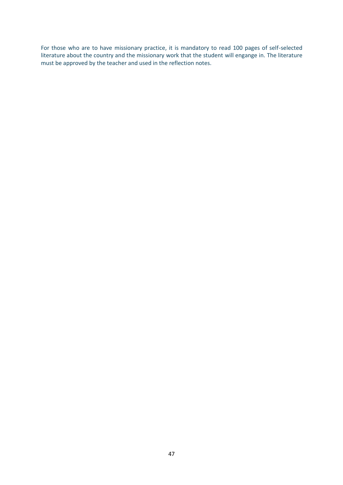For those who are to have missionary practice, it is mandatory to read 100 pages of self-selected literature about the country and the missionary work that the student will engange in. The literature must be approved by the teacher and used in the reflection notes.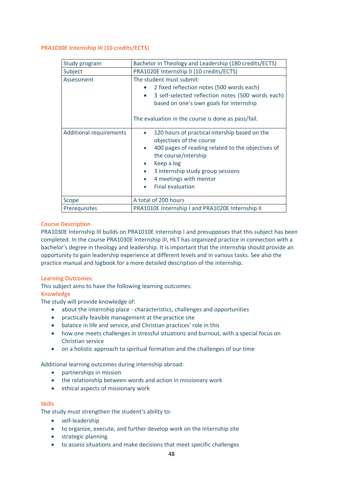#### <span id="page-47-0"></span>**PRA1030E Internship III (10 credits/ECTS)**

| Study program                  | Bachelor in Theology and Leadership (180 credits/ECTS)                                                                                                                                                                                                         |
|--------------------------------|----------------------------------------------------------------------------------------------------------------------------------------------------------------------------------------------------------------------------------------------------------------|
| Subject                        | PRA1020E Internship II (10 credits/ECTS)                                                                                                                                                                                                                       |
| Assessment                     | The student must submit:<br>2 fixed reflection notes (500 words each)<br>3 self-selected reflection notes (500 words each)<br>$\bullet$<br>based on one's own goals for internship<br>The evaluation in the course is done as pass/fail.                       |
| <b>Additional requirements</b> | 120 hours of practical intership based on the<br>objectives of the course<br>400 pages of reading related to the objectives of<br>the course/intership<br>Keep a log<br>3 internship study group sessions<br>4 meetings with mentor<br><b>Final evaluation</b> |
| Scope                          | A total of 200 hours                                                                                                                                                                                                                                           |
| Prerequisites                  | PRA1010E Internship I and PRA1020E Internship II                                                                                                                                                                                                               |

#### **Course Description**

PRA1030E Internship III builds on PRA1010E Internship I and presupposes that this subject has been completed. In the course PRA1030E Internship III, HLT has organized practice in connection with a bachelor's degree in theology and leadership. It is important that the internship should provide an opportunity to gain leadership experience at different levels and in various tasks. See also the practice manual and logbook for a more detailed description of the internship.

#### **Learning Outcomes**

This subject aims to have the following learning outcomes:

#### **Knowledge**

The study will provide knowledge of:

- about the internship place characteristics, challenges and opportunities
- practically feasible management at the practice site
- balance in life and service, and Christian practices' role in this
- how one meets challenges in stressful situations and burnout, with a special focus on Christian service
- on a holistic approach to spiritual formation and the challenges of our time

#### Additional learning outcomes during internship abroad:

- partnerships in mission
- the relationship between words and action in missionary work
- ethical aspects of missionary work

#### **Skills**

The study must strengthen the student's ability to:

- self-leadership
- to organize, execute, and further develop work on the internship site
- strategic planning
- to assess situations and make decisions that meet specific challenges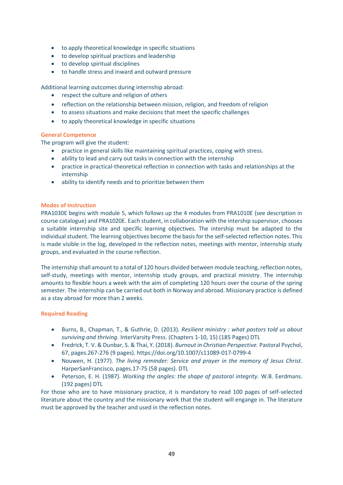- to apply theoretical knowledge in specific situations
- to develop spiritual practices and leadership
- to develop spiritual disciplines
- to handle stress and inward and outward pressure

Additional learning outcomes during internship abroad:

- respect the culture and religion of others
- reflection on the relationship between mission, religion, and freedom of religion
- to assess situations and make decisions that meet the specific challenges
- to apply theoretical knowledge in specific situations

#### **General Competence**

The program will give the student:

- practice in general skills like maintaining spiritual practices, coping with stress.
- ability to lead and carry out tasks in connection with the internship
- practice in practical-theoretical reflection in connection with tasks and relationships at the internship
- ability to identify needs and to prioritize between them

#### **Modes of Instruction**

PRA1030E begins with module 5, which follows up the 4 modules from PRA1010E (see description in course catalogue) and PRA1020E. Each student, in collaboration with the intership supervisor, chooses a suitable internship site and specific learning objectives. The intership must be adapted to the individual student. The learning objectives become the basis for the self-selected reflection notes. This is made visible in the log, developed in the reflection notes, meetings with mentor, internship study groups, and evaluated in the course reflection.

The internship shall amount to a total of 120 hours divided between module teaching, reflection notes, self-study, meetings with mentor, internship study groups, and practical ministry. The internship amounts to flexible hours a week with the aim of completing 120 hours over the course of the spring semester. The internship can be carried out both in Norway and abroad. Missionary practice is defined as a stay abroad for more than 2 weeks.

#### **Required Reading**

- Burns, B., Chapman, T., & Guthrie, D. (2013). *Resilient ministry : what pastors told us about surviving and thriving.* InterVarsity Press. (Chapters 1-10, 15) (185 Pages) DTL
- Fredrick, T. V. & Dunbar, S. & Thai, Y. (2018). *Burnout in Christian Perspective.* Pastoral Psychol, 67, pages.267-276 (9 pages). https://doi.org/10.1007/s11089-017-0799-4
- Nouwen, H. (1977). *The living reminder: Service and prayer in the memory of Jesus Christ.* HarperSanFrancisco, pages.17-75 (58 pages). DTL
- Peterson, E. H. (1987). *Working the angles: the shape of pastoral integrity.* W.B. Eerdmans. (192 pages) DTL

For those who are to have missionary practice, it is mandatory to read 100 pages of self-selected literature about the country and the missionary work that the student will engange in. The literature must be approved by the teacher and used in the reflection notes.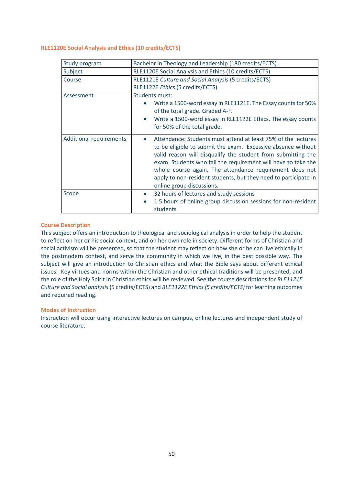#### <span id="page-49-0"></span>**RLE1120E Social Analysis and Ethics (10 credits/ECTS)**

| Study program                  | Bachelor in Theology and Leadership (180 credits/ECTS)                                                                                                                                                                                                                                                                                                                                                                                 |
|--------------------------------|----------------------------------------------------------------------------------------------------------------------------------------------------------------------------------------------------------------------------------------------------------------------------------------------------------------------------------------------------------------------------------------------------------------------------------------|
| Subject                        | RLE1120E Social Analysis and Ethics (10 credits/ECTS)                                                                                                                                                                                                                                                                                                                                                                                  |
| Course                         | RLE1121E Culture and Social Analysis (5 credits/ECTS)                                                                                                                                                                                                                                                                                                                                                                                  |
|                                | RLE1122E Ethics (5 credits/ECTS)                                                                                                                                                                                                                                                                                                                                                                                                       |
| Assessment                     | Students must:                                                                                                                                                                                                                                                                                                                                                                                                                         |
|                                | Write a 1500-word essay in RLE1121E. The Essay counts for 50%<br>$\bullet$<br>of the total grade. Graded A-F.                                                                                                                                                                                                                                                                                                                          |
|                                | Write a 1500-word essay in RLE1122E Ethics. The essay counts<br>$\bullet$<br>for 50% of the total grade.                                                                                                                                                                                                                                                                                                                               |
| <b>Additional requirements</b> | Attendance: Students must attend at least 75% of the lectures<br>$\bullet$<br>to be eligible to submit the exam. Excessive absence without<br>valid reason will disqualify the student from submitting the<br>exam. Students who fail the requirement will have to take the<br>whole course again. The attendance requirement does not<br>apply to non-resident students, but they need to participate in<br>online group discussions. |
| Scope                          | 32 hours of lectures and study sessions<br>$\bullet$<br>1.5 hours of online group discussion sessions for non-resident<br>$\bullet$<br>students                                                                                                                                                                                                                                                                                        |

#### **Course Description**

This subject offers an introduction to theological and sociological analysis in order to help the student to reflect on her or his social context, and on her own role in society. Different forms of Christian and social activism will be presented, so that the student may reflect on how she or he can live ethically in the postmodern context, and serve the community in which we live, in the best possible way. The subject will give an introduction to Christian ethics and what the Bible says about different ethical issues. Key virtues and norms within the Christian and other ethical traditions will be presented, and the role of the Holy Spirit in Christian ethics will be reviewed. See the course descriptions for *RLE1121E Culture and Social analysis* (5 credits/ECTS) and *RLE1122E Ethics(5 credits/ECTS)* for learning outcomes and required reading.

#### **Modes of Instruction**

Instruction will occur using interactive lectures on campus, online lectures and independent study of course literature.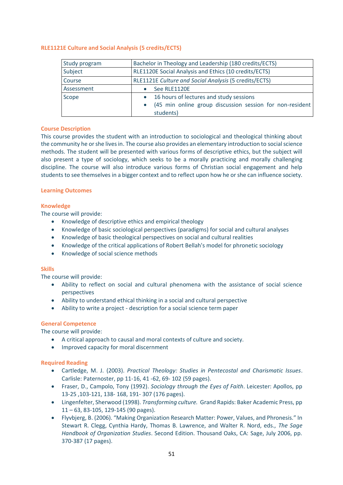#### <span id="page-50-0"></span>**RLE1121E Culture and Social Analysis (5 credits/ECTS)**

| Study program | Bachelor in Theology and Leadership (180 credits/ECTS)   |
|---------------|----------------------------------------------------------|
| Subject       | RLE1120E Social Analysis and Ethics (10 credits/ECTS)    |
| Course        | RLE1121E Culture and Social Analysis (5 credits/ECTS)    |
| Assessment    | See RLE1120E                                             |
| Scope         | 16 hours of lectures and study sessions<br>$\bullet$     |
|               | (45 min online group discussion session for non-resident |
|               | students)                                                |

#### **Course Description**

This course provides the student with an introduction to sociological and theological thinking about the community he or she lives in. The course also provides an elementary introduction to social science methods. The student will be presented with various forms of descriptive ethics, but the subject will also present a type of sociology, which seeks to be a morally practicing and morally challenging discipline. The course will also introduce various forms of Christian social engagement and help students to see themselves in a bigger context and to reflect upon how he or she can influence society.

#### **Learning Outcomes**

#### **Knowledge**

The course will provide:

- Knowledge of descriptive ethics and empirical theology
- Knowledge of basic sociological perspectives (paradigms) for social and cultural analyses
- Knowledge of basic theological perspectives on social and cultural realities
- Knowledge of the critical applications of Robert Bellah's model for phronetic sociology
- Knowledge of social science methods

#### **Skills**

The course will provide:

- Ability to reflect on social and cultural phenomena with the assistance of social science perspectives
- Ability to understand ethical thinking in a social and cultural perspective
- Ability to write a project description for a social science term paper

#### **General Competence**

The course will provide:

- A critical approach to causal and moral contexts of culture and society.
- Improved capacity for moral discernment

#### **Required Reading**

- Cartledge, M. J. (2003). *Practical Theology: Studies in Pentecostal and Charismatic Issues*. Carlisle: Paternoster, pp 11-16, 41 -62, 69- 102 (59 pages).
- Fraser, D., Campolo, Tony (1992). *Sociology through the Eyes of Faith*. Leicester: Apollos, pp 13-25 ,103-121, 138- 168, 191- 307 (176 pages).
- Lingenfelter, Sherwood (1998). *Transforming culture.* Grand Rapids: Baker Academic Press, pp 11 – 63, 83-105, 129-145 (90 pages).
- Flyvbjerg, B. (2006). "Making Organization Research Matter: Power, Values, and Phronesis." In Stewart R. Clegg, Cynthia Hardy, Thomas B. Lawrence, and Walter R. Nord, eds., *The Sage Handbook of Organization Studies*. Second Edition. Thousand Oaks, CA: Sage, July 2006, pp. 370-387 (17 pages).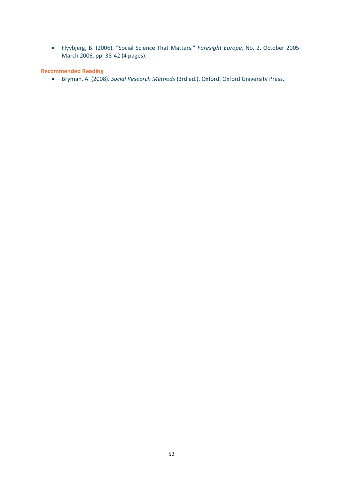• Flyvbjerg, B. (2006). "Social Science That Matters." *Foresight Europe*, No. 2, October 2005– March 2006, pp. 38-42 (4 pages).

**Recommended Reading**

• Bryman, A. (2008). *Social Research Methods* (3rd ed.). Oxford: Oxford University Press.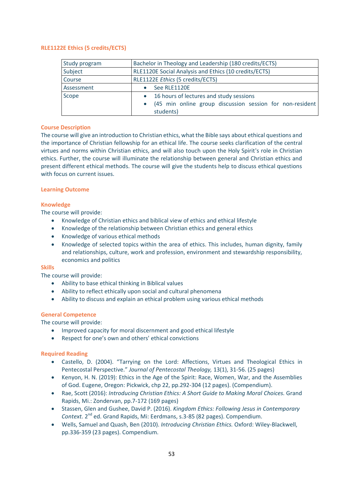#### <span id="page-52-0"></span>**RLE1122E Ethics (5 credits/ECTS)**

| Study program | Bachelor in Theology and Leadership (180 credits/ECTS)   |
|---------------|----------------------------------------------------------|
| Subject       | RLE1120E Social Analysis and Ethics (10 credits/ECTS)    |
| Course        | RLE1122E Ethics (5 credits/ECTS)                         |
| Assessment    | See RLE1120E                                             |
| Scope         | 16 hours of lectures and study sessions<br>$\bullet$     |
|               | (45 min online group discussion session for non-resident |
|               | students)                                                |

#### **Course Description**

The course will give an introduction to Christian ethics, what the Bible says about ethical questions and the importance of Christian fellowship for an ethical life. The course seeks clarification of the central virtues and norms within Christian ethics, and will also touch upon the Holy Spirit's role in Christian ethics. Further, the course will illuminate the relationship between general and Christian ethics and present different ethical methods. The course will give the students help to discuss ethical questions with focus on current issues.

#### **Learning Outcome**

#### **Knowledge**

The course will provide:

- Knowledge of Christian ethics and biblical view of ethics and ethical lifestyle
- Knowledge of the relationship between Christian ethics and general ethics
- Knowledge of various ethical methods
- Knowledge of selected topics within the area of ethics. This includes, human dignity, family and relationships, culture, work and profession, environment and stewardship responsibility, economics and politics

#### **Skills**

The course will provide:

- Ability to base ethical thinking in Biblical values
- Ability to reflect ethically upon social and cultural phenomena
- Ability to discuss and explain an ethical problem using various ethical methods

#### **General Competence**

The course will provide:

- Improved capacity for moral discernment and good ethical lifestyle
- Respect for one's own and others' ethical convictions

#### **Required Reading**

- Castello, D. (2004). "Tarrying on the Lord: Affections, Virtues and Theological Ethics in Pentecostal Perspective." *Journal of Pentecostal Theology,* 13(1), 31-56. (25 pages)
- Kenyon, H. N. (2019): Ethics in the Age of the Spirit: Race, Women, War, and the Assemblies of God. Eugene, Oregon: Pickwick, chp 22, pp.292-304 (12 pages). (Compendium).
- Rae, Scott (2016): *Introducing Christian Ethics: A Short Guide to Making Moral Choices.* Grand Rapids, Mi.: Zondervan, pp.7-172 (169 pages)
- Stassen, Glen and Gushee, David P. (2016). *Kingdom Ethics: Following Jesus in Contemporary*  Context. 2<sup>nd</sup> ed. Grand Rapids, Mi: Eerdmans, s.3-85 (82 pages). Compendium.
- Wells, Samuel and Quash, Ben (2010). *Introducing Christian Ethics.* Oxford: Wiley-Blackwell, pp.336-359 (23 pages). Compendium.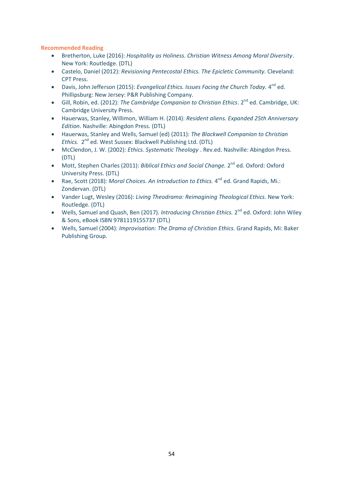#### **Recommended Reading**

- Bretherton, Luke (2016): *Hospitality as Holiness. Christian Witness Among Moral Diversity*. New York: Routledge. (DTL)
- Castelo, Daniel (2012): *Revisioning Pentecostal Ethics. The Epicletic Community.* Cleveland: CPT Press.
- Davis, John Jefferson (2015): *Evangelical Ethics. Issues Facing the Church Today.* 4<sup>nd</sup> ed. Phillipsburg: New Jersey: P&R Publishing Company.
- Gill, Robin, ed. (2012): The Cambridge Companion to Christian Ethics. 2<sup>nd</sup> ed. Cambridge, UK: Cambridge University Press.
- Hauerwas, Stanley, Willimon, William H. (2014): *Resident aliens. Expanded 25th Anniversary Edition*. Nashville: Abingdon Press. (DTL)
- Hauerwas, Stanley and Wells, Samuel (ed) (2011): *The Blackwell Companion to Christian*  Ethics. 2<sup>nd</sup> ed. West Sussex: Blackwell Publishing Ltd. (DTL)
- McClendon, J. W. (2002): *Ethics. Systematic Theology* . Rev.ed. Nashville: Abingdon Press. (DTL)
- Mott, Stephen Charles (2011): *Biblical Ethics and Social Change.* 2<sup>nd</sup> ed. Oxford: Oxford University Press. (DTL)
- Rae, Scott (2018): *Moral Choices. An Introduction to Ethics.* 4<sup>nd</sup> ed. Grand Rapids, Mi.: Zondervan. (DTL)
- Vander Lugt, Wesley (2016): *Living Theodrama: Reimagining Theological Ethics.* New York: Routledge. (DTL)
- Wells, Samuel and Quash, Ben (2017). *Introducing Christian Ethics*. 2<sup>nd</sup> ed. Oxford: John Wiley & Sons, eBook ISBN 9781119155737 (DTL)
- Wells, Samuel (2004): *Improvisation: The Drama of Christian Ethics.* Grand Rapids, Mi: Baker Publishing Group.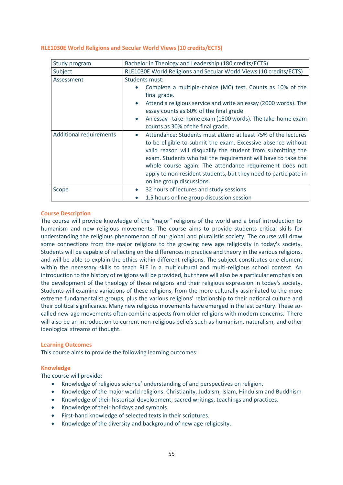#### <span id="page-54-0"></span>**RLE1030E World Religions and Secular World Views (10 credits/ECTS)**

| Study program                  | Bachelor in Theology and Leadership (180 credits/ECTS)                                                                                                                                                                                                                                                                                                                                                                                 |
|--------------------------------|----------------------------------------------------------------------------------------------------------------------------------------------------------------------------------------------------------------------------------------------------------------------------------------------------------------------------------------------------------------------------------------------------------------------------------------|
| Subject                        | RLE1030E World Religions and Secular World Views (10 credits/ECTS)                                                                                                                                                                                                                                                                                                                                                                     |
| Assessment                     | <b>Students must:</b><br>Complete a multiple-choice (MC) test. Counts as 10% of the<br>final grade.<br>Attend a religious service and write an essay (2000 words). The<br>$\bullet$<br>essay counts as 60% of the final grade.<br>An essay - take-home exam (1500 words). The take-home exam<br>$\bullet$<br>counts as 30% of the final grade.                                                                                         |
| <b>Additional requirements</b> | Attendance: Students must attend at least 75% of the lectures<br>$\bullet$<br>to be eligible to submit the exam. Excessive absence without<br>valid reason will disqualify the student from submitting the<br>exam. Students who fail the requirement will have to take the<br>whole course again. The attendance requirement does not<br>apply to non-resident students, but they need to participate in<br>online group discussions. |
| Scope                          | 32 hours of lectures and study sessions<br>$\bullet$                                                                                                                                                                                                                                                                                                                                                                                   |
|                                | 1.5 hours online group discussion session                                                                                                                                                                                                                                                                                                                                                                                              |

#### **Course Description**

The course will provide knowledge of the "major" religions of the world and a brief introduction to humanism and new religious movements. The course aims to provide students critical skills for understanding the religious phenomenon of our global and pluralistic society. The course will draw some connections from the major religions to the growing new age religiosity in today's society. Students will be capable of reflecting on the differences in practice and theory in the various religions, and will be able to explain the ethics within different religions. The subject constitutes one element within the necessary skills to teach RLE in a multicultural and multi-religious school context. An introduction to the history of religions will be provided, but there will also be a particular emphasis on the development of the theology of these religions and their religious expression in today's society. Students will examine variations of these religions, from the more culturally assimilated to the more extreme fundamentalist groups, plus the various religions' relationship to their national culture and their political significance. Many new religious movements have emerged in the last century. These socalled new-age movements often combine aspects from older religions with modern concerns. There will also be an introduction to current non-religious beliefs such as humanism, naturalism, and other ideological streams of thought.

#### **Learning Outcomes**

This course aims to provide the following learning outcomes:

#### **Knowledge**

The course will provide:

- Knowledge of religious science' understanding of and perspectives on religion.
- Knowledge of the major world religions: Christianity, Judaism, Islam, Hinduism and Buddhism
- Knowledge of their historical development, sacred writings, teachings and practices.
- Knowledge of their holidays and symbols.
- First-hand knowledge of selected texts in their scriptures.
- Knowledge of the diversity and background of new age religiosity.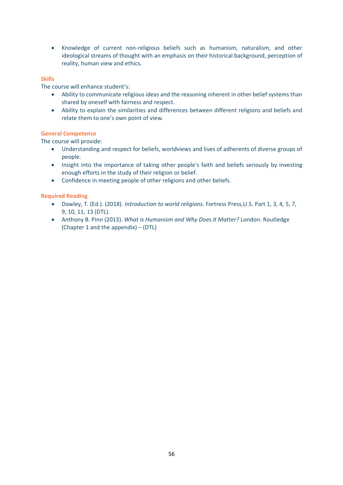• Knowledge of current non-religious beliefs such as humanism, naturalism, and other ideological streams of thought with an emphasis on their historical background, perception of reality, human view and ethics.

#### **Skills**

The course will enhance student's:

- Ability to communicate religious ideas and the reasoning inherent in other belief systems than shared by oneself with fairness and respect.
- Ability to explain the similarities and differences between different religions and beliefs and relate them to one's own point of view.

#### **General Competence**

The course will provide:

- Understanding and respect for beliefs, worldviews and lives of adherents of diverse groups of people.
- Insight into the importance of taking other people's faith and beliefs seriously by investing enough efforts in the study of their religion or belief.
- Confidence in meeting people of other religions and other beliefs.

#### **Required Reading**

- Dowley, T. (Ed.). (2018). *Introduction to world religions*. Fortress Press,U.S. Part 1, 3, 4, 5, 7, 9, 10, 11, 13 (DTL).
- Anthony B. Pinn (2013). *What is Humanism and Why Does it Matter?* London: Routledge (Chapter 1 and the appendix) – (DTL)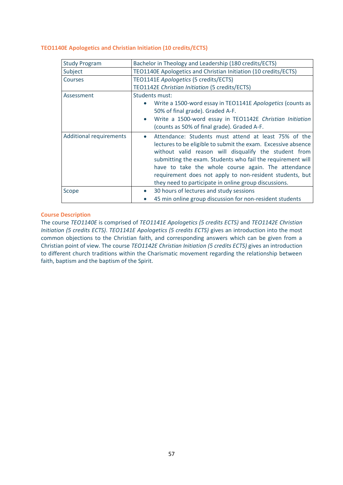#### <span id="page-56-0"></span>**TEO1140E Apologetics and Christian Initiation (10 credits/ECTS)**

| <b>Study Program</b>           | Bachelor in Theology and Leadership (180 credits/ECTS)                                                                                                                                                                                                                                                                                                                                                                                 |
|--------------------------------|----------------------------------------------------------------------------------------------------------------------------------------------------------------------------------------------------------------------------------------------------------------------------------------------------------------------------------------------------------------------------------------------------------------------------------------|
| Subject                        | TEO1140E Apologetics and Christian Initiation (10 credits/ECTS)                                                                                                                                                                                                                                                                                                                                                                        |
| <b>Courses</b>                 | TEO1141E Apologetics (5 credits/ECTS)                                                                                                                                                                                                                                                                                                                                                                                                  |
|                                | TEO1142E Christian Initiation (5 credits/ECTS)                                                                                                                                                                                                                                                                                                                                                                                         |
| Assessment                     | Students must:                                                                                                                                                                                                                                                                                                                                                                                                                         |
|                                | Write a 1500-word essay in TEO1141E Apologetics (counts as                                                                                                                                                                                                                                                                                                                                                                             |
|                                | 50% of final grade). Graded A-F.                                                                                                                                                                                                                                                                                                                                                                                                       |
|                                | Write a 1500-word essay in TEO1142E Christian Initiation                                                                                                                                                                                                                                                                                                                                                                               |
|                                | (counts as 50% of final grade). Graded A-F.                                                                                                                                                                                                                                                                                                                                                                                            |
| <b>Additional requirements</b> | Attendance: Students must attend at least 75% of the<br>$\bullet$<br>lectures to be eligible to submit the exam. Excessive absence<br>without valid reason will disqualify the student from<br>submitting the exam. Students who fail the requirement will<br>have to take the whole course again. The attendance<br>requirement does not apply to non-resident students, but<br>they need to participate in online group discussions. |
| Scope                          | 30 hours of lectures and study sessions<br>$\bullet$                                                                                                                                                                                                                                                                                                                                                                                   |
|                                | 45 min online group discussion for non-resident students                                                                                                                                                                                                                                                                                                                                                                               |

#### **Course Description**

The course *TEO1140E* is comprised of *TEO1141E Apologetics (5 credits ECTS)* and *TEO1142E Christian Initiation (5 credits ECTS)*. *TEO1141E Apologetics (5 credits ECTS)* gives an introduction into the most common objections to the Christian faith, and corresponding answers which can be given from a Christian point of view. The course *TEO1142E Christian Initiation (5 credits ECTS)* gives an introduction to different church traditions within the Charismatic movement regarding the relationship between faith, baptism and the baptism of the Spirit.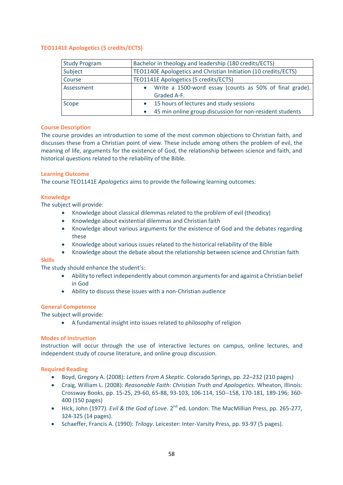#### <span id="page-57-0"></span>**TEO1141E Apologetics (5 credits/ECTS)**

| <b>Study Program</b> | Bachelor in theology and leadership (180 credits/ECTS)               |
|----------------------|----------------------------------------------------------------------|
| Subject              | TEO1140E Apologetics and Christian Initiation (10 credits/ECTS)      |
| Course               | TEO1141E Apologetics (5 credits/ECTS)                                |
| Assessment           | Write a 1500-word essay (counts as 50% of final grade).<br>$\bullet$ |
|                      | Graded A-F.                                                          |
| Scope                | 15 hours of lectures and study sessions<br>$\bullet$                 |
|                      | 45 min online group discussion for non-resident students             |

#### **Course Description**

The course provides an introduction to some of the most common objections to Christian faith, and discusses these from a Christian point of view. These include among others the problem of evil, the meaning of life, arguments for the existence of God, the relationship between science and faith, and historical questions related to the reliability of the Bible.

#### **Learning Outcome**

The course TEO1141E *Apologetics* aims to provide the following learning outcomes:

#### **Knowledge**

The subject will provide:

- Knowledge about classical dilemmas related to the problem of evil (theodicy)
- Knowledge about existential dilemmas and Christian faith
- Knowledge about various arguments for the existence of God and the debates regarding these
- Knowledge about various issues related to the historical reliability of the Bible
- Knowledge about the debate about the relationship between science and Christian faith

#### **Skills**

The study should enhance the student's:

- Ability to reflect independently about common arguments for and against a Christian belief in God
- Ability to discuss these issues with a non-Christian audience

#### **General Competence**

The subject will provide:

• A fundamental insight into issues related to philosophy of religion

#### **Modes of Instruction**

Instruction will occur through the use of interactive lectures on campus, online lectures, and independent study of course literature, and online group discussion.

#### **Required Reading**

- Boyd, Gregory A. (2008): *Letters From A Skeptic*. Colorado Springs, pp. 22–232 (210 pages)
- Craig, William L. (2008): *Reasonable Faith: Christian Truth and Apologetics.* Wheaton, Illinois: Crossway Books, pp. 15-25, 29-60, 65-88, 93-103, 106-114, 150--158, 170-181, 189-196; 360- 400 (150 pages)
- Hick, John (1977). *Evil & the God of Love*. 2<sup>nd</sup> ed. London: The MacMillian Press, pp. 265-277, 324-325 (14 pages).
- Schaeffer, Francis A. (1990): *Trilogy*. Leicester: Inter-Varsity Press, pp. 93-97 (5 pages).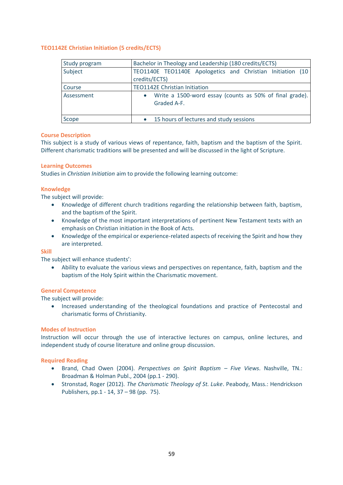#### <span id="page-58-0"></span>**TEO1142E Christian Initiation (5 credits/ECTS)**

| <b>Study program</b> | Bachelor in Theology and Leadership (180 credits/ECTS)                      |
|----------------------|-----------------------------------------------------------------------------|
| Subject              | TEO1140E TEO1140E Apologetics and Christian Initiation (10<br>credits/ECTS) |
| Course               | <b>TEO1142E Christian Initiation</b>                                        |
| Assessment           | Write a 1500-word essay (counts as 50% of final grade).<br>Graded A-F.      |
| Scope                | 15 hours of lectures and study sessions                                     |

#### **Course Description**

This subject is a study of various views of repentance, faith, baptism and the baptism of the Spirit. Different charismatic traditions will be presented and will be discussed in the light of Scripture.

#### **Learning Outcomes**

Studies in *Christian Initiation* aim to provide the following learning outcome:

#### **Knowledge**

The subject will provide:

- Knowledge of different church traditions regarding the relationship between faith, baptism, and the baptism of the Spirit.
- Knowledge of the most important interpretations of pertinent New Testament texts with an emphasis on Christian initiation in the Book of Acts.
- Knowledge of the empirical or experience-related aspects of receiving the Spirit and how they are interpreted.

#### **Skill**

The subject will enhance students':

• Ability to evaluate the various views and perspectives on repentance, faith, baptism and the baptism of the Holy Spirit within the Charismatic movement.

#### **General Competence**

The subject will provide:

• Increased understanding of the theological foundations and practice of Pentecostal and charismatic forms of Christianity.

#### **Modes of Instruction**

Instruction will occur through the use of interactive lectures on campus, online lectures, and independent study of course literature and online group discussion.

#### **Required Reading**

- Brand, Chad Owen (2004). *Perspectives on Spirit Baptism – Five Views*. Nashville, TN.: Broadman & Holman Publ., 2004 (pp.1 - 290).
- Stronstad, Roger (2012). *The Charismatic Theology of St. Luke*. Peabody, Mass.: Hendrickson Publishers, pp.1 - 14, 37 – 98 (pp. 75).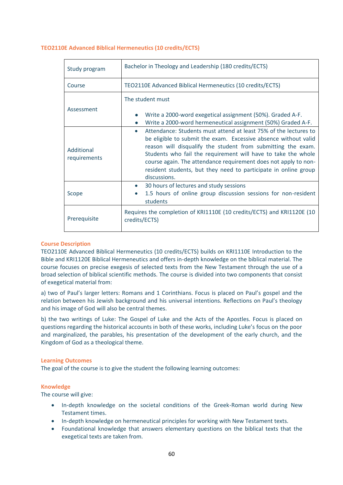| Study program              | Bachelor in Theology and Leadership (180 credits/ECTS)                                                                                                                                                                                                                                                                                                                                                                     |  |
|----------------------------|----------------------------------------------------------------------------------------------------------------------------------------------------------------------------------------------------------------------------------------------------------------------------------------------------------------------------------------------------------------------------------------------------------------------------|--|
| Course                     | TEO2110E Advanced Biblical Hermeneutics (10 credits/ECTS)                                                                                                                                                                                                                                                                                                                                                                  |  |
| Assessment                 | The student must<br>Write a 2000-word exegetical assignment (50%). Graded A-F.<br>Write a 2000-word hermeneutical assignment (50%) Graded A-F.<br>$\bullet$                                                                                                                                                                                                                                                                |  |
| Additional<br>requirements | Attendance: Students must attend at least 75% of the lectures to<br>be eligible to submit the exam. Excessive absence without valid<br>reason will disqualify the student from submitting the exam.<br>Students who fail the requirement will have to take the whole<br>course again. The attendance requirement does not apply to non-<br>resident students, but they need to participate in online group<br>discussions. |  |
| Scope                      | 30 hours of lectures and study sessions<br>1.5 hours of online group discussion sessions for non-resident<br>students                                                                                                                                                                                                                                                                                                      |  |
| Prerequisite               | Requires the completion of KRI1110E (10 credits/ECTS) and KRI1120E (10<br>credits/ECTS)                                                                                                                                                                                                                                                                                                                                    |  |

#### <span id="page-59-0"></span>**TEO2110E Advanced Biblical Hermeneutics (10 credits/ECTS)**

#### **Course Description**

TEO2110E Advanced Biblical Hermeneutics (10 credits/ECTS) builds on KRI1110E Introduction to the Bible and KRI1120E Biblical Hermeneutics and offers in-depth knowledge on the biblical material. The course focuses on precise exegesis of selected texts from the New Testament through the use of a broad selection of biblical scientific methods. The course is divided into two components that consist of exegetical material from:

a) two of Paul's larger letters: Romans and 1 Corinthians. Focus is placed on Paul's gospel and the relation between his Jewish background and his universal intentions. Reflections on Paul's theology and his image of God will also be central themes.

b) the two writings of Luke: The Gospel of Luke and the Acts of the Apostles. Focus is placed on questions regarding the historical accounts in both of these works, including Luke's focus on the poor and marginalized, the parables, his presentation of the development of the early church, and the Kingdom of God as a theological theme.

#### **Learning Outcomes**

The goal of the course is to give the student the following learning outcomes:

#### **Knowledge**

The course will give:

- In-depth knowledge on the societal conditions of the Greek-Roman world during New Testament times.
- In-depth knowledge on hermeneutical principles for working with New Testament texts.
- Foundational knowledge that answers elementary questions on the biblical texts that the exegetical texts are taken from.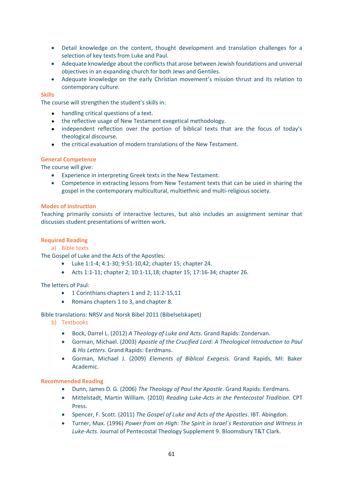- Detail knowledge on the content, thought development and translation challenges for a selection of key texts from Luke and Paul.
- Adequate knowledge about the conflicts that arose between Jewish foundations and universal objectives in an expanding church for both Jews and Gentiles.
- Adequate knowledge on the early Christian movement's mission thrust and its relation to contemporary culture.

#### **Skills**

The course will strengthen the student's skills in:

- handling critical questions of a text.
- the reflective usage of New Testament exegetical methodology.
- independent reflection over the portion of biblical texts that are the focus of today's theological discourse.
- the critical evaluation of modern translations of the New Testament.

#### **General Competence**

The course will give:

- Experience in interpreting Greek texts in the New Testament.
- Competence in extracting lessons from New Testament texts that can be used in sharing the gospel in the contemporary multicultural, multiethnic and multi-religious society.

#### **Modes of Instruction**

Teaching primarily consists of interactive lectures, but also includes an assignment seminar that discusses student presentations of written work.

#### **Required Reading**

#### a) Bible texts

The Gospel of Luke and the Acts of the Apostles:

- Luke 1:1-4; 4:1-30; 9:51-10,42; chapter 15; chapter 24.
- Acts 1:1-11; chapter 2; 10:1-11,18; chapter 15; 17:16-34; chapter 26.

#### The letters of Paul:

- 1 Corinthians chapters 1 and 2; 11:2-15,11
- Romans chapters 1 to 3, and chapter 8.

Bible translations: NRSV and Norsk Bibel 2011 (Bibelselskapet)

- b) Textbooks
	- Bock, Darrel L. (2012) *A Theology of Luke and Acts*. Grand Rapids: Zondervan.
	- Gorman, Michael. (2003) *Apostle of the Crucified Lord: A Theological Introduction to Paul & His Letters*. Grand Rapids: Eerdmans.
	- Gorman, Michael J. (2009) *Elements of Biblical Exegesis.* Grand Rapids, MI: Baker Academic.

#### **Recommended Reading**

- Dunn, James D. G. (2006) *The Theology of Paul the Apostle*. Grand Rapids: Eerdmans.
- Mittelstadt, Martin William. (2010) *Reading Luke-Acts in the Pentecostal Tradition*. CPT Press.
- Spencer, F. Scott. (2011) *The Gospel of Luke and Acts of the Apostles*. IBT. Abingdon.
- Turner, Max. (1996) *Power from on High: The Spirit in Israel´s Restoration and Witness in Luke-Acts*. Journal of Pentecostal Theology Supplement 9. Bloomsbury T&T Clark.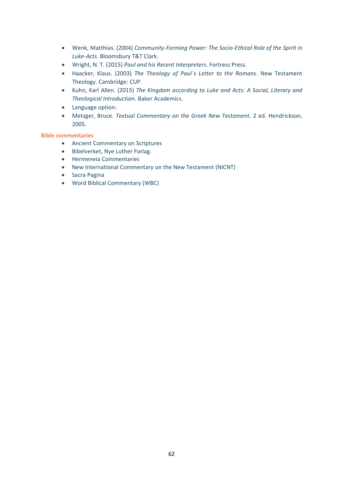- Wenk, Matthias. (2004) *Community-Forming Power: The Socio-Ethical Role of the Spirit in Luke-Acts*. Bloomsbury T&T Clark.
- Wright, N. T. (2015) *Paul and his Recent Interpreters*. Fortress Press.
- Haacker, Klaus. (2003) *The Theology of Paul´s Letter to the Romans*. New Testament Theology. Cambridge: CUP.
- Kuhn, Karl Allen. (2015) *The Kingdom according to Luke and Acts: A Social, Literary and Theological Introduction*. Baker Academics.
- Language option:
- Metzger, Bruce. *Textual Commentary on the Greek New Testament*. 2 ed. Hendrickson, 2005.

#### **Bible commentaries**

- Ancient Commentary on Scriptures
- Bibelverket, Nye Luther Forlag.
- Hermeneia Commentaries
- New International Commentary on the New Testament (NICNT)
- Sacra Pagina
- Word Biblical Commentary (WBC)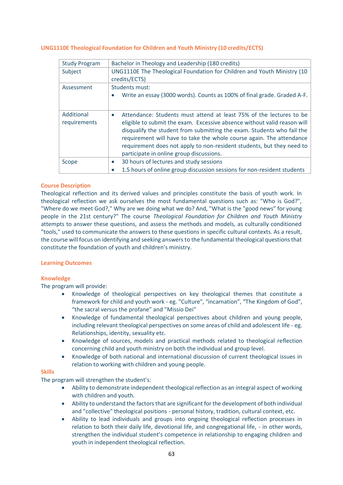#### <span id="page-62-0"></span>**UNG1110E Theological Foundation for Children and Youth Ministry (10 credits/ECTS)**

| <b>Study Program</b>       | Bachelor in Theology and Leadership (180 credits)                                                                                                                                                                                                                                                                                                                                                                                   |
|----------------------------|-------------------------------------------------------------------------------------------------------------------------------------------------------------------------------------------------------------------------------------------------------------------------------------------------------------------------------------------------------------------------------------------------------------------------------------|
| Subject                    | UNG1110E The Theological Foundation for Children and Youth Ministry (10<br>credits/ECTS)                                                                                                                                                                                                                                                                                                                                            |
| Assessment                 | Students must:<br>Write an essay (3000 words). Counts as 100% of final grade. Graded A-F.                                                                                                                                                                                                                                                                                                                                           |
| Additional<br>requirements | Attendance: Students must attend at least 75% of the lectures to be<br>$\bullet$<br>eligible to submit the exam. Excessive absence without valid reason will<br>disqualify the student from submitting the exam. Students who fail the<br>requirement will have to take the whole course again. The attendance<br>requirement does not apply to non-resident students, but they need to<br>participate in online group discussions. |
| Scope                      | 30 hours of lectures and study sessions                                                                                                                                                                                                                                                                                                                                                                                             |
|                            | 1.5 hours of online group discussion sessions for non-resident students                                                                                                                                                                                                                                                                                                                                                             |

#### **Course Description**

Theological reflection and its derived values and principles constitute the basis of youth work. In theological reflection we ask ourselves the most fundamental questions such as: "Who is God?", "Where do we meet God?," Why are we doing what we do? And, "What is the "good news" for young people in the 21st century?" The course *Theological Foundation for Children and Youth Ministry* attempts to answer these questions, and assess the methods and models, as culturally conditioned "tools," used to communicate the answers to these questions in specific cultural contexts. As a result, the course will focus on identifying and seeking answers to the fundamental theological questions that constitute the foundation of youth and children's ministry.

#### **Learning Outcomes**

#### **Knowledge**

The program will provide:

- Knowledge of theological perspectives on key theological themes that constitute a framework for child and youth work - eg. "Culture", "incarnation", "The Kingdom of God", "the sacral versus the profane" and "Missio Dei"
- Knowledge of fundamental theological perspectives about children and young people, including relevant theological perspectives on some areas of child and adolescent life - eg. Relationships, identity, sexuality etc.
- Knowledge of sources, models and practical methods related to theological reflection concerning child and youth ministry on both the individual and group level.
- Knowledge of both national and international discussion of current theological issues in relation to working with children and young people.

#### **Skills**

The program will strengthen the student's:

- Ability to demonstrate independent theological reflection as an integral aspect of working with children and youth.
- Ability to understand the factors that are significant for the development of both individual and "collective" theological positions - personal history, tradition, cultural context, etc.
- Ability to lead individuals and groups into ongoing theological reflection processes in relation to both their daily life, devotional life, and congregational life, - in other words, strengthen the individual student's competence in relationship to engaging children and youth in independent theological reflection.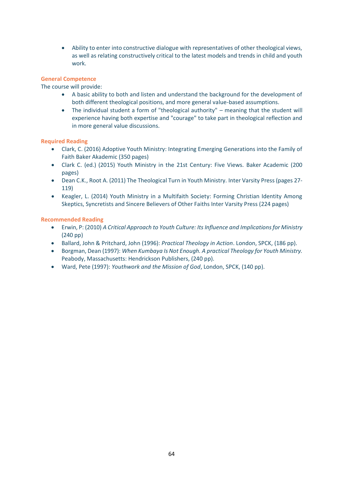• Ability to enter into constructive dialogue with representatives of other theological views, as well as relating constructively critical to the latest models and trends in child and youth work.

#### **General Competence**

The course will provide:

- A basic ability to both and listen and understand the background for the development of both different theological positions, and more general value-based assumptions.
- The individual student a form of "theological authority" meaning that the student will experience having both expertise and "courage" to take part in theological reflection and in more general value discussions.

#### **Required Reading**

- Clark, C. (2016) Adoptive Youth Ministry: Integrating Emerging Generations into the Family of Faith Baker Akademic (350 pages)
- Clark C. (ed.) (2015) Youth Ministry in the 21st Century: Five Views. Baker Academic (200 pages)
- Dean C.K., Root A. (2011) The Theological Turn in Youth Ministry. Inter Varsity Press (pages 27- 119)
- Keagler, L. (2014) Youth Ministry in a Multifaith Society: Forming Christian Identity Among Skeptics, Syncretists and Sincere Believers of Other Faiths Inter Varsity Press (224 pages)

#### **Recommended Reading**

- Erwin, P: (2010) *A Critical Approach to Youth Culture: Its Influence and Implications for Ministry* (240 pp)
- Ballard, John & Pritchard, John (1996): *Practical Theology in Action*. London, SPCK, (186 pp).
- Borgman, Dean (1997): *When Kumbaya Is Not Enough. A practical Theology for Youth Ministry.* Peabody, Massachusetts: Hendrickson Publishers, (240 pp).
- Ward, Pete (1997): *Youthwork and the Mission of God*, London, SPCK, (140 pp).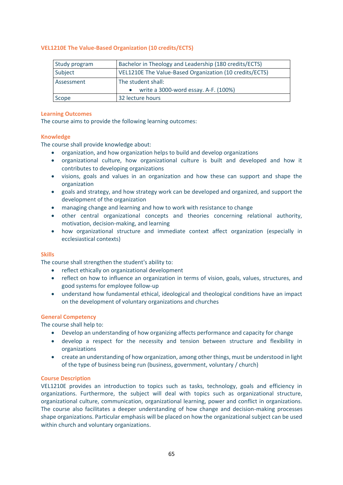#### <span id="page-64-0"></span>**VEL1210E The Value-Based Organization (10 credits/ECTS)**

| Study program | Bachelor in Theology and Leadership (180 credits/ECTS)  |
|---------------|---------------------------------------------------------|
| Subject       | VEL1210E The Value-Based Organization (10 credits/ECTS) |
| Assessment    | The student shall:                                      |
|               | write a 3000-word essay. A-F. (100%)                    |
| Scope         | 32 lecture hours                                        |

#### **Learning Outcomes**

The course aims to provide the following learning outcomes:

#### **Knowledge**

The course shall provide knowledge about:

- organization, and how organization helps to build and develop organizations
- organizational culture, how organizational culture is built and developed and how it contributes to developing organizations
- visions, goals and values in an organization and how these can support and shape the organization
- goals and strategy, and how strategy work can be developed and organized, and support the development of the organization
- managing change and learning and how to work with resistance to change
- other central organizational concepts and theories concerning relational authority, motivation, decision-making, and learning
- how organizational structure and immediate context affect organization (especially in ecclesiastical contexts)

#### **Skills**

The course shall strengthen the student's ability to:

- reflect ethically on organizational development
- reflect on how to influence an organization in terms of vision, goals, values, structures, and good systems for employee follow-up
- understand how fundamental ethical, ideological and theological conditions have an impact on the development of voluntary organizations and churches

#### **General Competency**

The course shall help to:

- Develop an understanding of how organizing affects performance and capacity for change
- develop a respect for the necessity and tension between structure and flexibility in organizations
- create an understanding of how organization, among other things, must be understood in light of the type of business being run (business, government, voluntary / church)

#### **Course Description**

VEL1210E provides an introduction to topics such as tasks, technology, goals and efficiency in organizations. Furthermore, the subject will deal with topics such as organizational structure, organizational culture, communication, organizational learning, power and conflict in organizations. The course also facilitates a deeper understanding of how change and decision-making processes shape organizations. Particular emphasis will be placed on how the organizational subject can be used within church and voluntary organizations.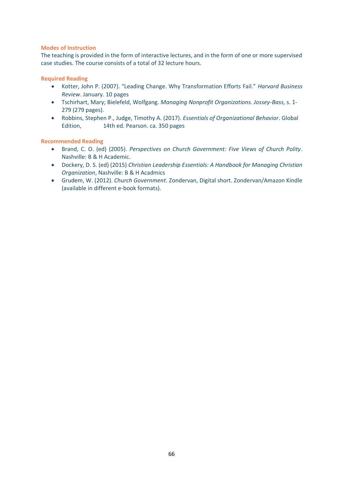#### **Modes of Instruction**

The teaching is provided in the form of interactive lectures, and in the form of one or more supervised case studies. The course consists of a total of 32 lecture hours.

#### **Required Reading**

- Kotter, John P. (2007). "Leading Change. Why Transformation Efforts Fail." *Harvard Business Review*. January. 10 pages
- Tschirhart, Mary; Bielefeld, Wolfgang. *Managing Nonprofit Organizations. Jossey-Bass*, s. 1- 279 (279 pages).
- Robbins, Stephen P., Judge, Timothy A. (2017). *Essentials of Organizational Behavior*. Global Edition, 14th ed. Pearson. ca. 350 pages

#### **Recommended Reading**

- Brand, C. O. (ed) (2005). *Perspectives on Church Government: Five Views of Church Polity*. Nashville: B & H Academic.
- Dockery, D. S. (ed) (2015) *Christian Leadership Essentials: A Handbook for Managing Christian Organization*, Nashville: B & H Acadmics
- Grudem, W. (2012). *Church Government*. Zondervan, Digital short. Zondervan/Amazon Kindle (available in different e-book formats).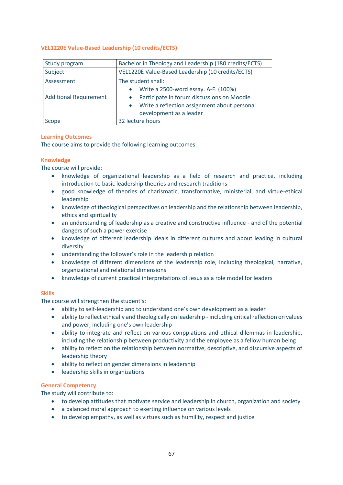#### <span id="page-66-0"></span>**VEL1220E Value-Based Leadership (10 credits/ECTS)**

| Study program                 | Bachelor in Theology and Leadership (180 credits/ECTS)    |
|-------------------------------|-----------------------------------------------------------|
| Subject                       | VEL1220E Value-Based Leadership (10 credits/ECTS)         |
| Assessment                    | The student shall:                                        |
|                               | Write a 2500-word essay. A-F. (100%)<br>$\bullet$         |
| <b>Additional Requirement</b> | Participate in forum discussions on Moodle                |
|                               | Write a reflection assignment about personal<br>$\bullet$ |
|                               | development as a leader                                   |
| Scope                         | 32 lecture hours                                          |

#### **Learning Outcomes**

The course aims to provide the following learning outcomes:

#### **Knowledge**

The course will provide:

- knowledge of organizational leadership as a field of research and practice, including introduction to basic leadership theories and research traditions
- good knowledge of theories of charismatic, transformative, ministerial, and virtue-ethical leadership
- knowledge of theological perspectives on leadership and the relationship between leadership, ethics and spirituality
- an understanding of leadership as a creative and constructive influence and of the potential dangers of such a power exercise
- knowledge of different leadership ideals in different cultures and about leading in cultural diversity
- understanding the follower's role in the leadership relation
- knowledge of different dimensions of the leadership role, including theological, narrative, organizational and relational dimensions
- knowledge of current practical interpretations of Jesus as a role model for leaders

#### **Skills**

The course will strengthen the student's:

- ability to self-leadership and to understand one's own development as a leader
- ability to reflect ethically and theologically on leadership including critical reflection on values and power, including one's own leadership
- ability to integrate and reflect on various conpp.ations and ethical dilemmas in leadership, including the relationship between productivity and the employee as a fellow human being
- ability to reflect on the relationship between normative, descriptive, and discursive aspects of leadership theory
- ability to reflect on gender dimensions in leadership
- leadership skills in organizations

#### **General Competency**

The study will contribute to:

- to develop attitudes that motivate service and leadership in church, organization and society
- a balanced moral approach to exerting influence on various levels
- to develop empathy, as well as virtues such as humility, respect and justice